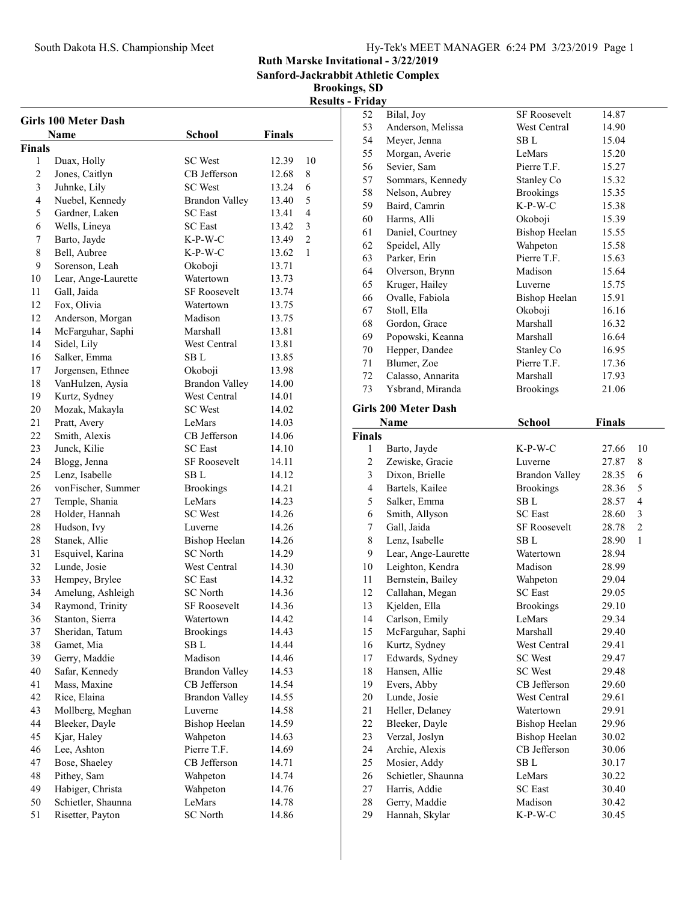## South Dakota H.S. Championship Meet Hy-Tek's MEET MANAGER 6:24 PM 3/23/2019 Page 1

Ruth Marske Invitational - 3/22/2019

Sanford-Jackrabbit Athletic Complex

Brookings, SD

| <b>Girls 100 Meter Dash</b> |                     |                       |               |                |
|-----------------------------|---------------------|-----------------------|---------------|----------------|
|                             | <b>Name</b>         | <b>School</b>         | <b>Finals</b> |                |
| Finals                      |                     |                       |               |                |
| 1                           | Duax, Holly         | <b>SC</b> West        | 12.39         | 10             |
| $\overline{2}$              | Jones, Caitlyn      | CB Jefferson          | 12.68         | 8              |
| 3                           | Juhnke, Lily        | <b>SC</b> West        | 13.24         | 6              |
| $\overline{4}$              | Nuebel, Kennedy     | <b>Brandon Valley</b> | 13.40         | 5              |
| 5                           | Gardner, Laken      | <b>SC</b> East        | 13.41         | $\overline{4}$ |
| 6                           | Wells, Lineya       | <b>SC</b> East        | 13.42         | 3              |
| 7                           | Barto, Jayde        | $K-P-W-C$             | 13.49         | $\overline{2}$ |
| 8                           | Bell, Aubree        | K-P-W-C               | 13.62         | 1              |
| 9                           | Sorenson, Leah      | Okoboji               | 13.71         |                |
| 10                          | Lear, Ange-Laurette | Watertown             | 13.73         |                |
| 11                          | Gall, Jaida         | <b>SF Roosevelt</b>   | 13.74         |                |
| 12                          | Fox, Olivia         | Watertown             | 13.75         |                |
| 12                          | Anderson, Morgan    | Madison               | 13.75         |                |
| 14                          | McFarguhar, Saphi   | Marshall              | 13.81         |                |
| 14                          | Sidel, Lily         | West Central          | 13.81         |                |
| 16                          | Salker, Emma        | SB L                  | 13.85         |                |
| 17                          | Jorgensen, Ethnee   | Okoboji               | 13.98         |                |
| 18                          | VanHulzen, Aysia    | <b>Brandon Valley</b> | 14.00         |                |
| 19                          | Kurtz, Sydney       | <b>West Central</b>   | 14.01         |                |
| 20                          | Mozak, Makayla      | <b>SC</b> West        | 14.02         |                |
| 21                          | Pratt, Avery        | LeMars                | 14.03         |                |
| 22                          | Smith, Alexis       | CB Jefferson          | 14.06         |                |
| 23                          | Junck, Kilie        | <b>SC</b> East        | 14.10         |                |
| 24                          | Blogg, Jenna        | <b>SF Roosevelt</b>   | 14.11         |                |
| 25                          | Lenz, Isabelle      | SB L                  | 14.12         |                |
| 26                          | vonFischer, Summer  | <b>Brookings</b>      | 14.21         |                |
| 27                          | Temple, Shania      | LeMars                | 14.23         |                |
| 28                          | Holder, Hannah      | <b>SC</b> West        | 14.26         |                |
| 28                          | Hudson, Ivy         | Luverne               | 14.26         |                |
| 28                          | Stanek, Allie       | <b>Bishop Heelan</b>  | 14.26         |                |
| 31                          | Esquivel, Karina    | <b>SC</b> North       | 14.29         |                |
| 32                          | Lunde, Josie        | West Central          | 14.30         |                |
| 33                          | Hempey, Brylee      | <b>SC</b> East        | 14.32         |                |
| 34                          | Amelung, Ashleigh   | <b>SC</b> North       | 14.36         |                |
| 34                          |                     |                       |               |                |
|                             | Raymond, Trinity    | <b>SF Roosevelt</b>   | 14.36         |                |
| 36                          | Stanton, Sierra     | Watertown             | 14.42         |                |
| 37                          | Sheridan, Tatum     | <b>Brookings</b>      | 14.43         |                |
| 38                          | Gamet, Mia          | SB <sub>L</sub>       | 14.44         |                |
| 39                          | Gerry, Maddie       | Madison               | 14.46         |                |
| 40                          | Safar, Kennedy      | <b>Brandon Valley</b> | 14.53         |                |
| 41                          | Mass, Maxine        | CB Jefferson          | 14.54         |                |
| 42                          | Rice, Elaina        | <b>Brandon Valley</b> | 14.55         |                |
| 43                          | Mollberg, Meghan    | Luverne               | 14.58         |                |
| 44                          | Bleeker, Dayle      | <b>Bishop Heelan</b>  | 14.59         |                |
| 45                          | Kjar, Haley         | Wahpeton              | 14.63         |                |
| 46                          | Lee, Ashton         | Pierre T.F.           | 14.69         |                |
| 47                          | Bose, Shaeley       | CB Jefferson          | 14.71         |                |
| 48                          | Pithey, Sam         | Wahpeton              | 14.74         |                |
| 49                          | Habiger, Christa    | Wahpeton              | 14.76         |                |
| 50                          | Schietler, Shaunna  | LeMars                | 14.78         |                |
| 51                          | Risetter, Payton    | <b>SC</b> North       | 14.86         |                |
|                             |                     |                       |               |                |

| 52                      | Bilal, Joy                      | <b>SF Roosevelt</b>               | 14.87          |                     |
|-------------------------|---------------------------------|-----------------------------------|----------------|---------------------|
| 53                      | Anderson, Melissa               | West Central                      | 14.90          |                     |
| 54                      | Meyer, Jenna                    | SB L                              | 15.04          |                     |
| 55                      | Morgan, Averie                  | LeMars                            | 15.20          |                     |
| 56                      | Sevier, Sam                     | Pierre T.F.                       | 15.27          |                     |
| 57                      | Sommars, Kennedy                | Stanley Co                        | 15.32          |                     |
| 58                      | Nelson, Aubrey                  | <b>Brookings</b>                  | 15.35          |                     |
| 59                      | Baird, Camrin                   | $K-P-W-C$                         | 15.38          |                     |
| 60                      | Harms, Alli                     | Okoboji                           | 15.39          |                     |
| 61                      | Daniel, Courtney                | <b>Bishop Heelan</b>              | 15.55          |                     |
| 62                      | Speidel, Ally                   | Wahpeton                          | 15.58          |                     |
| 63                      | Parker, Erin                    | Pierre T.F.                       | 15.63          |                     |
| 64                      | Olverson, Brynn                 | Madison                           | 15.64          |                     |
| 65                      | Kruger, Hailey                  | Luverne                           | 15.75          |                     |
| 66                      | Ovalle, Fabiola                 | <b>Bishop Heelan</b>              | 15.91          |                     |
| 67                      | Stoll, Ella                     | Okoboji                           | 16.16          |                     |
| 68                      |                                 | Marshall                          | 16.32          |                     |
|                         | Gordon, Grace                   | Marshall                          |                |                     |
| 69                      | Popowski, Keanna                |                                   | 16.64          |                     |
| 70                      | Hepper, Dandee                  | Stanley Co                        | 16.95          |                     |
| 71                      | Blumer, Zoe                     | Pierre T.F.                       | 17.36          |                     |
| 72                      | Calasso, Annarita               | Marshall                          | 17.93          |                     |
| 73                      | Ysbrand, Miranda                | <b>Brookings</b>                  | 21.06          |                     |
|                         | <b>Girls 200 Meter Dash</b>     |                                   |                |                     |
|                         | Name                            | <b>School</b>                     | <b>Finals</b>  |                     |
| <b>Finals</b>           |                                 |                                   |                |                     |
| 1                       | Barto, Jayde                    | $K-P-W-C$                         | 27.66          | 10                  |
| $\mathfrak{2}$          |                                 |                                   |                | 8                   |
|                         |                                 | Luverne                           |                |                     |
|                         | Zewiske, Gracie                 |                                   | 27.87          |                     |
| 3                       | Dixon, Brielle                  | <b>Brandon Valley</b>             | 28.35          | 6                   |
| $\overline{\mathbf{4}}$ | Bartels, Kailee                 | <b>Brookings</b>                  | 28.36          | 5<br>$\overline{4}$ |
| 5                       | Salker, Emma                    | ${\bf SB \; L}$<br><b>SC</b> East | 28.57          |                     |
| 6                       | Smith, Allyson                  | <b>SF Roosevelt</b>               | 28.60          | 3                   |
| 7                       | Gall, Jaida                     |                                   | 28.78          | $\mathfrak{2}$      |
| 8                       | Lenz, Isabelle                  | SB L                              | 28.90          | $\mathbf{1}$        |
| 9                       | Lear, Ange-Laurette             | Watertown                         | 28.94          |                     |
| 10                      | Leighton, Kendra                | Madison                           | 28.99          |                     |
| 11                      | Bernstein, Bailey               | Wahpeton<br><b>SC</b> East        | 29.04          |                     |
| 12                      | Callahan, Megan                 |                                   | 29.05          |                     |
| 13                      | Kjelden, Ella                   | <b>Brookings</b>                  | 29.10          |                     |
| 14                      | Carlson, Emily                  | LeMars                            | 29.34          |                     |
| 15                      | McFarguhar, Saphi               | Marshall                          | 29.40          |                     |
| 16                      | Kurtz, Sydney                   | West Central                      | 29.41          |                     |
| 17                      | Edwards, Sydney                 | <b>SC</b> West                    | 29.47          |                     |
| 18                      | Hansen, Allie                   | <b>SC</b> West                    | 29.48          |                     |
| 19                      | Evers, Abby                     | CB Jefferson                      | 29.60          |                     |
| 20                      | Lunde, Josie                    | West Central                      | 29.61          |                     |
| 21                      | Heller, Delaney                 | Watertown                         | 29.91          |                     |
| 22                      | Bleeker, Dayle                  | <b>Bishop Heelan</b>              | 29.96          |                     |
| 23                      | Verzal, Joslyn                  | <b>Bishop Heelan</b>              | 30.02          |                     |
| 24                      | Archie, Alexis                  | CB Jefferson                      | 30.06          |                     |
| 25                      | Mosier, Addy                    | SB L                              | 30.17          |                     |
| 26                      | Schietler, Shaunna              | LeMars                            | 30.22          |                     |
| $27\,$                  | Harris, Addie                   | <b>SC</b> East                    | 30.40          |                     |
| 28<br>29                | Gerry, Maddie<br>Hannah, Skylar | Madison<br>$K-P-W-C$              | 30.42<br>30.45 |                     |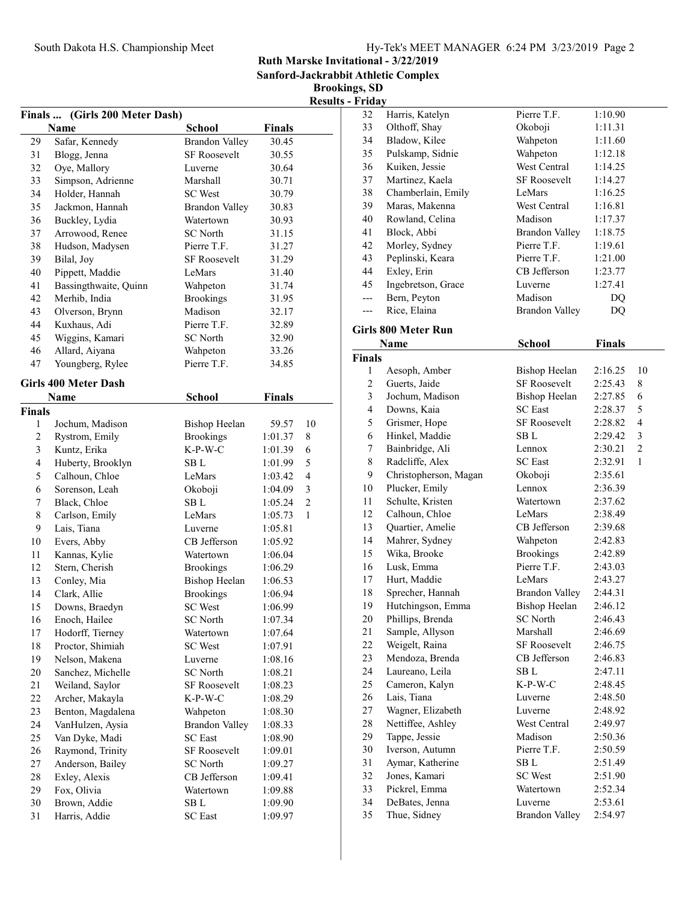|  | Hy-Tek's MEET MANAGER 6:24 PM 3/23/2019 Page 2 |  |  |
|--|------------------------------------------------|--|--|
|  |                                                |  |  |

Sanford-Jackrabbit Athletic Complex

|                |                                |                       |               |                | <b>Results - Friday</b> |
|----------------|--------------------------------|-----------------------|---------------|----------------|-------------------------|
|                | Finals  (Girls 200 Meter Dash) |                       |               |                | 32                      |
|                | Name                           | <b>School</b>         | <b>Finals</b> |                | 33                      |
| 29             | Safar, Kennedy                 | <b>Brandon Valley</b> | 30.45         |                | 34                      |
| 31             | Blogg, Jenna                   | <b>SF Roosevelt</b>   | 30.55         |                | 35                      |
| 32             | Oye, Mallory                   | Luverne               | 30.64         |                | 36<br>l                 |
| 33             | Simpson, Adrienne              | Marshall              | 30.71         |                | 37<br>I                 |
| 34             | Holder, Hannah                 | <b>SC</b> West        | 30.79         |                | 38<br>(                 |
| 35             | Jackmon, Hannah                | <b>Brandon Valley</b> | 30.83         |                | 39<br>I                 |
| 36             | Buckley, Lydia                 | Watertown             | 30.93         |                | 40<br>I                 |
| 37             | Arrowood, Renee                | <b>SC</b> North       | 31.15         |                | 41<br>l                 |
| 38             | Hudson, Madysen                | Pierre T.F.           | 31.27         |                | 42<br>I                 |
| 39             | Bilal, Joy                     | <b>SF Roosevelt</b>   | 31.29         |                | 43<br>I                 |
| 40             | Pippett, Maddie                | LeMars                | 31.40         |                | 44                      |
| 41             | Bassingthwaite, Quinn          | Wahpeton              | 31.74         |                | 45<br>J                 |
| 42             | Merhib, India                  | <b>Brookings</b>      | 31.95         |                | I<br>---                |
| 43             | Olverson, Brynn                | Madison               | 32.17         |                | ---                     |
| 44             | Kuxhaus, Adi                   | Pierre T.F.           | 32.89         |                |                         |
| 45             | Wiggins, Kamari                | <b>SC</b> North       | 32.90         |                | Girls 80                |
| 46             | Allard, Aiyana                 | Wahpeton              | 33.26         |                | N                       |
| 47             | Youngberg, Rylee               | Pierre T.F.           | 34.85         |                | <b>Finals</b>           |
|                |                                |                       |               |                | 1                       |
|                | <b>Girls 400 Meter Dash</b>    |                       |               |                | $\sqrt{2}$              |
|                | <b>Name</b>                    | <b>School</b>         | <b>Finals</b> |                | 3                       |
| Finals         |                                |                       |               |                | $\overline{4}$<br>l     |
| 1              | Jochum, Madison                | <b>Bishop Heelan</b>  | 59.57         | 10             | 5                       |
| $\overline{2}$ | Rystrom, Emily                 | <b>Brookings</b>      | 1:01.37       | 8              | 6<br>I                  |
| 3              | Kuntz, Erika                   | $K-P-W-C$             | 1:01.39       | 6              | 7<br>I                  |
| $\overline{4}$ | Huberty, Brooklyn              | SB <sub>L</sub>       | 1:01.99       | 5              | 8<br>I                  |
| 5              | Calhoun, Chloe                 | LeMars                | 1:03.42       | 4              | 9                       |
| 6              | Sorenson, Leah                 | Okoboji               | 1:04.09       | 3              | 10                      |
| 7              | Black, Chloe                   | SB L                  | 1:05.24       | $\overline{2}$ | 11                      |
| 8              | Carlson, Emily                 | LeMars                | 1:05.73       | 1              | 12                      |
| 9              | Lais, Tiana                    | Luverne               | 1:05.81       |                | 13                      |
| 10             | Evers, Abby                    | CB Jefferson          | 1:05.92       |                | 14<br>I                 |
| 11             | Kannas, Kylie                  | Watertown             | 1:06.04       |                | 15                      |
| 12             | Stern, Cherish                 | <b>Brookings</b>      | 1:06.29       |                | 16                      |
| 13             | Conley, Mia                    | <b>Bishop Heelan</b>  | 1:06.53       |                | 17                      |
| 14             | Clark, Allie                   | <b>Brookings</b>      | 1:06.94       |                | 18                      |
| 15             | Downs, Braedyn                 | SC West               | 1:06.99       |                | 19                      |
| 16             | Enoch, Hailee                  | <b>SC</b> North       | 1:07.34       |                | 20                      |
| 17             | Hodorff, Tierney               | Watertown             | 1:07.64       |                | 21                      |
| 18             | Proctor, Shimiah               | <b>SC</b> West        | 1:07.91       |                | 22                      |
| 19             | Nelson, Makena                 | Luverne               | 1:08.16       |                | 23                      |
| 20             | Sanchez, Michelle              | <b>SC</b> North       | 1:08.21       |                | 24                      |
| 21             | Weiland, Saylor                | SF Roosevelt          | 1:08.23       |                | 25                      |
| $22\,$         | Archer, Makayla                | K-P-W-C               | 1:08.29       |                | 26                      |
| 23             | Benton, Magdalena              | Wahpeton              | 1:08.30       |                | 27                      |
| 24             | VanHulzen, Aysia               | <b>Brandon Valley</b> | 1:08.33       |                | 28                      |
| 25             | Van Dyke, Madi                 | <b>SC</b> East        | 1:08.90       |                | 29                      |
| 26             | Raymond, Trinity               | SF Roosevelt          | 1:09.01       |                | 30                      |
| 27             | Anderson, Bailey               | SC North              | 1:09.27       |                | 31                      |
| 28             | Exley, Alexis                  | CB Jefferson          | 1:09.41       |                | 32                      |
| 29             | Fox, Olivia                    | Watertown             | 1:09.88       |                | 33                      |
| 30             | Brown, Addie                   | SB <sub>L</sub>       | 1:09.90       |                | 34                      |
| 31             | Harris, Addie                  | <b>SC</b> East        | 1:09.97       |                | 35                      |
|                |                                |                       |               |                |                         |

| 32             | Harris, Katelyn            | Pierre T.F.           | 1:10.90       |                |
|----------------|----------------------------|-----------------------|---------------|----------------|
| 33             | Olthoff, Shay              | Okoboji               | 1:11.31       |                |
| 34             | Bladow, Kilee              | Wahpeton              | 1:11.60       |                |
| 35             | Pulskamp, Sidnie           | Wahpeton              | 1:12.18       |                |
| 36             | Kuiken, Jessie             | West Central          | 1:14.25       |                |
| 37             | Martinez, Kaela            | <b>SF Roosevelt</b>   | 1:14.27       |                |
| 38             | Chamberlain, Emily         | LeMars                | 1:16.25       |                |
| 39             | Maras, Makenna             | West Central          | 1:16.81       |                |
| 40             | Rowland, Celina            | Madison               | 1:17.37       |                |
| 41             | Block, Abbi                | <b>Brandon Valley</b> | 1:18.75       |                |
| 42             | Morley, Sydney             | Pierre T.F.           | 1:19.61       |                |
| 43             | Peplinski, Keara           | Pierre T.F.           | 1:21.00       |                |
| 44             | Exley, Erin                | CB Jefferson          | 1:23.77       |                |
| 45             | Ingebretson, Grace         | Luverne               | 1:27.41       |                |
| $---$          | Bern, Peyton               | Madison               | DQ            |                |
| ---            | Rice, Elaina               | <b>Brandon Valley</b> | DQ            |                |
|                | <b>Girls 800 Meter Run</b> |                       |               |                |
|                | Name                       | <b>School</b>         | <b>Finals</b> |                |
| <b>Finals</b>  |                            |                       |               |                |
| 1              | Aesoph, Amber              | <b>Bishop Heelan</b>  | 2:16.25       | 10             |
| $\overline{c}$ | Guerts, Jaide              | <b>SF Roosevelt</b>   | 2:25.43       | 8              |
| 3              | Jochum, Madison            | <b>Bishop Heelan</b>  | 2:27.85       | 6              |
| $\overline{4}$ | Downs, Kaia                | <b>SC</b> East        | 2:28.37       | 5              |
| 5              | Grismer, Hope              | <b>SF Roosevelt</b>   | 2:28.82       | 4              |
| 6              | Hinkel, Maddie             | SB L                  | 2:29.42       | 3              |
| 7              | Bainbridge, Ali            | Lennox                | 2:30.21       | $\overline{2}$ |
| 8              | Radcliffe, Alex            | <b>SC</b> East        | 2:32.91       | 1              |
| 9              | Christopherson, Magan      | Okoboji               | 2:35.61       |                |
| 10             | Plucker, Emily             | Lennox                | 2:36.39       |                |
| 11             | Schulte, Kristen           | Watertown             | 2:37.62       |                |
| 12             | Calhoun, Chloe             | LeMars                | 2:38.49       |                |
| 13             | Quartier, Amelie           | CB Jefferson          | 2:39.68       |                |
| 14             | Mahrer, Sydney             | Wahpeton              | 2:42.83       |                |
| 15             | Wika, Brooke               | <b>Brookings</b>      | 2:42.89       |                |
| 16             | Lusk, Emma                 | Pierre T.F.           | 2:43.03       |                |
| 17             | Hurt, Maddie               | LeMars                | 2:43.27       |                |
| 18             | Sprecher, Hannah           | <b>Brandon Valley</b> | 2:44.31       |                |
| 19             | Hutchingson, Emma          | <b>Bishop Heelan</b>  | 2:46.12       |                |
| $20\,$         | Phillips, Brenda           | <b>SC</b> North       | 2:46.43       |                |
| 21             | Sample, Allyson            | Marshall              | 2:46.69       |                |
| 22             | Weigelt, Raina             | SF Roosevelt          | 2:46.75       |                |
| 23             | Mendoza, Brenda            | CB Jefferson          | 2:46.83       |                |
| 24             | Laureano, Leila            | SB L                  | 2:47.11       |                |
| 25             | Cameron, Kalyn             | K-P-W-C               | 2:48.45       |                |
| 26             | Lais, Tiana                | Luverne               | 2:48.50       |                |
| 27             | Wagner, Elizabeth          | Luverne               | 2:48.92       |                |
| 28             | Nettiffee, Ashley          | West Central          | 2:49.97       |                |
| 29             | Tappe, Jessie              | Madison               | 2:50.36       |                |
| 30             | Iverson, Autumn            | Pierre T.F.           | 2:50.59       |                |
| 31             | Aymar, Katherine           | SB L                  | 2:51.49       |                |
| 32             | Jones, Kamari              | <b>SC</b> West        | 2:51.90       |                |
| 33             | Pickrel, Emma              | Watertown             | 2:52.34       |                |
| 34             | DeBates, Jenna             | Luverne               | 2:53.61       |                |
| 35             | Thue, Sidney               | <b>Brandon Valley</b> | 2:54.97       |                |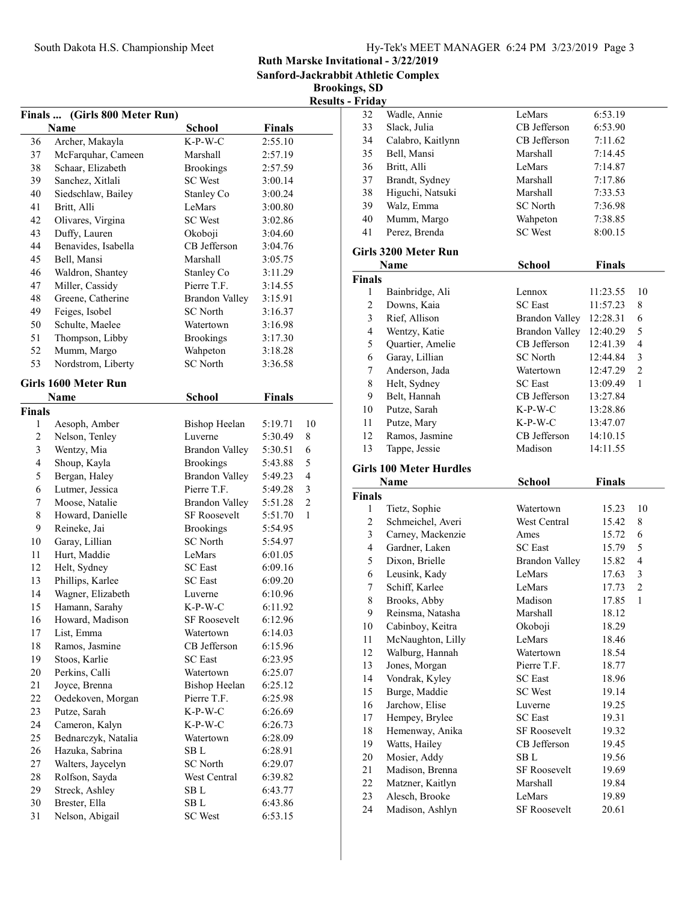Sanford-Jackrabbit Athletic Complex

|                |                               |                       |               |                | <b>Results - Friday</b>       |
|----------------|-------------------------------|-----------------------|---------------|----------------|-------------------------------|
|                | Finals  (Girls 800 Meter Run) |                       |               |                | 32                            |
|                | Name                          | <b>School</b>         | <b>Finals</b> |                | 33                            |
| 36             | Archer, Makayla               | $K-P-W-C$             | 2:55.10       |                | 34                            |
| 37             | McFarquhar, Cameen            | Marshall              | 2:57.19       |                | 35                            |
| 38             | Schaar, Elizabeth             | <b>Brookings</b>      | 2:57.59       |                | 36<br>l                       |
| 39             | Sanchez, Xitlali              | <b>SC</b> West        | 3:00.14       |                | 37<br>J                       |
| 40             | Siedschlaw, Bailey            | Stanley Co            | 3:00.24       |                | 38<br>I                       |
| 41             | Britt, Alli                   | LeMars                | 3:00.80       |                | 39                            |
| 42             | Olivares, Virgina             | <b>SC</b> West        | 3:02.86       |                | 40<br>I                       |
| 43             | Duffy, Lauren                 | Okoboji               | 3:04.60       |                | 41<br>I                       |
| 44             | Benavides, Isabella           | CB Jefferson          | 3:04.76       |                | Girls 32                      |
| 45             | Bell, Mansi                   | Marshall              | 3:05.75       |                |                               |
| 46             | Waldron, Shantey              | Stanley Co            | 3:11.29       |                | N                             |
| 47             | Miller, Cassidy               | Pierre T.F.           | 3:14.55       |                | <b>Finals</b>                 |
| 48             | Greene, Catherine             | <b>Brandon Valley</b> | 3:15.91       |                | 1<br>I                        |
| 49             | Feiges, Isobel                | <b>SC</b> North       | 3:16.37       |                | $\sqrt{2}$                    |
| 50             | Schulte, Maelee               | Watertown             | 3:16.98       |                | $\mathfrak{Z}$<br>l           |
| 51             | Thompson, Libby               | <b>Brookings</b>      | 3:17.30       |                | $\overline{4}$                |
| 52             | Mumm, Margo                   | Wahpeton              | 3:18.28       |                | 5<br>$\overline{\phantom{a}}$ |
| 53             | Nordstrom, Liberty            | <b>SC North</b>       | 3:36.58       |                | 6<br>$\overline{\phantom{a}}$ |
|                |                               |                       |               |                | $\tau$<br>$\overline{1}$      |
|                | Girls 1600 Meter Run          |                       |               |                | $\,8\,$<br>I                  |
|                | Name                          | <b>School</b>         | <b>Finals</b> |                | 9<br>l                        |
| Finals         |                               |                       |               |                | 10<br>l                       |
| $\mathbf{1}$   | Aesoph, Amber                 | <b>Bishop Heelan</b>  | 5:19.71       | 10             | 11<br>I                       |
| $\overline{c}$ | Nelson, Tenley                | Luverne               | 5:30.49       | 8              | 12                            |
| 3              | Wentzy, Mia                   | <b>Brandon Valley</b> | 5:30.51       | 6              | 13                            |
| $\overline{4}$ | Shoup, Kayla                  | <b>Brookings</b>      | 5:43.88       | 5              | Girls 10                      |
| 5              | Bergan, Haley                 | <b>Brandon Valley</b> | 5:49.23       | 4              | N                             |
| 6              | Lutmer, Jessica               | Pierre T.F.           | 5:49.28       | 3              | <b>Finals</b>                 |
| 7              | Moose, Natalie                | <b>Brandon Valley</b> | 5:51.28       | $\overline{c}$ | 1                             |
| 8              | Howard, Danielle              | <b>SF Roosevelt</b>   | 5:51.70       | 1              | $\overline{c}$                |
| 9              | Reineke, Jai                  | <b>Brookings</b>      | 5:54.95       |                | $\overline{\mathbf{3}}$       |
| 10             | Garay, Lillian                | <b>SC</b> North       | 5:54.97       |                | $\overline{4}$<br>I           |
| 11             | Hurt, Maddie                  | LeMars                | 6:01.05       |                | 5<br>J                        |
| 12             | Helt, Sydney                  | <b>SC</b> East        | 6:09.16       |                | 6<br>l                        |
| 13             | Phillips, Karlee              | <b>SC</b> East        | 6:09.20       |                | 7                             |
| 14             | Wagner, Elizabeth             | Luverne               | 6:10.96       |                | 8<br>I                        |
| 15             | Hamann, Sarahy                | K-P-W-C               | 6:11.92       |                | 9                             |
| 16             | Howard, Madison               | SF Roosevelt          | 6:12.96       |                | 10                            |
| 17             | List, Emma                    | Watertown             | 6:14.03       |                |                               |
| 18             | Ramos, Jasmine                | CB Jefferson          | 6:15.96       |                | 11<br>12                      |
| 19             | Stoos, Karlie                 | <b>SC</b> East        | 6:23.95       |                |                               |
| 20             | Perkins, Calli                | Watertown             | 6:25.07       |                | 13                            |
| 21             | Joyce, Brenna                 | <b>Bishop Heelan</b>  | 6:25.12       |                | 14                            |
| $22\,$         | Oedekoven, Morgan             | Pierre T.F.           | 6:25.98       |                | 15                            |
| 23             | Putze, Sarah                  | K-P-W-C               | 6:26.69       |                | 16                            |
| 24             | Cameron, Kalyn                | $K-P-W-C$             | 6:26.73       |                | 17                            |
| 25             | Bednarczyk, Natalia           | Watertown             | 6:28.09       |                | 18                            |
| 26             | Hazuka, Sabrina               | SB <sub>L</sub>       | 6:28.91       |                | 19                            |
| 27             | Walters, Jaycelyn             | <b>SC</b> North       | 6:29.07       |                | 20                            |
| 28             | Rolfson, Sayda                | West Central          | 6:39.82       |                | 21<br>I                       |
| 29             | Streck, Ashley                | SB L                  | 6:43.77       |                | 22<br>I                       |
| 30             | Brester, Ella                 | SB L                  | 6:43.86       |                | 23                            |
| 31             | Nelson, Abigail               | <b>SC</b> West        | 6:53.15       |                | 24<br>I                       |
|                |                               |                       |               |                |                               |

| 32                      | Wadle, Annie                      | LeMars                        | 6:53.19        |                         |
|-------------------------|-----------------------------------|-------------------------------|----------------|-------------------------|
| 33                      | Slack, Julia                      | CB Jefferson                  | 6:53.90        |                         |
| 34                      | Calabro, Kaitlynn                 | CB Jefferson                  | 7:11.62        |                         |
| 35                      | Bell, Mansi                       | Marshall                      | 7:14.45        |                         |
| 36                      | Britt, Alli                       | LeMars                        | 7:14.87        |                         |
| 37                      | Brandt, Sydney                    | Marshall                      | 7:17.86        |                         |
| 38                      | Higuchi, Natsuki                  | Marshall                      | 7:33.53        |                         |
| 39                      | Walz, Emma                        | <b>SC</b> North               | 7:36.98        |                         |
| 40                      | Mumm, Margo                       | Wahpeton                      | 7:38.85        |                         |
| 41                      | Perez, Brenda                     | <b>SC</b> West                | 8:00.15        |                         |
|                         | Girls 3200 Meter Run              |                               |                |                         |
|                         | <b>Name</b>                       | <b>School</b>                 | <b>Finals</b>  |                         |
| <b>Finals</b>           |                                   |                               |                |                         |
| 1                       | Bainbridge, Ali                   | Lennox                        | 11:23.55       | 10                      |
| $\overline{c}$          | Downs, Kaia                       | <b>SC</b> East                | 11:57.23       | 8                       |
| 3                       | Rief, Allison                     | Brandon Valley 12:28.31       |                | 6                       |
| $\overline{\mathbf{4}}$ | Wentzy, Katie                     | Brandon Valley 12:40.29       |                | 5                       |
| 5                       | Quartier, Amelie                  | CB Jefferson                  | 12:41.39       | $\overline{\mathbf{4}}$ |
| 6                       | Garay, Lillian                    | <b>SC</b> North               | 12:44.84       | 3                       |
| 7                       | Anderson, Jada                    | Watertown                     | 12:47.29       | 2                       |
| 8                       | Helt, Sydney                      | <b>SC</b> East                | 13:09.49       | $\mathbf{1}$            |
| 9                       | Belt, Hannah                      | CB Jefferson                  | 13:27.84       |                         |
| 10                      | Putze, Sarah                      | $K-P-W-C$                     | 13:28.86       |                         |
| 11                      | Putze, Mary                       | $K-P-W-C$                     | 13:47.07       |                         |
| 12                      | Ramos, Jasmine                    | CB Jefferson                  | 14:10.15       |                         |
| 13                      | Tappe, Jessie                     | Madison                       | 14:11.55       |                         |
|                         |                                   |                               |                |                         |
|                         |                                   |                               |                |                         |
|                         | <b>Girls 100 Meter Hurdles</b>    |                               |                |                         |
|                         | <b>Name</b>                       | School                        | <b>Finals</b>  |                         |
| <b>Finals</b>           |                                   |                               |                |                         |
| 1                       | Tietz, Sophie                     | Watertown                     | 15.23          | 10                      |
| 2                       | Schmeichel, Averi                 | West Central                  | 15.42          | 8                       |
| 3                       | Carney, Mackenzie                 | Ames                          | 15.72          | 6                       |
| 4                       | Gardner, Laken                    | <b>SC</b> East                | 15.79          | 5                       |
| 5                       | Dixon, Brielle                    | <b>Brandon Valley</b>         | 15.82          | $\overline{4}$          |
| 6                       | Leusink, Kady                     | LeMars                        | 17.63          | 3                       |
| 7                       | Schiff, Karlee                    | LeMars                        | 17.73          | 2                       |
| $\,$ $\,$               | Brooks, Abby                      | Madison                       | 17.85          | 1                       |
| 9                       | Reinsma, Natasha                  | Marshall                      | 18.12          |                         |
| 10                      | Cabinboy, Keitra                  | Okoboji                       | 18.29          |                         |
| $11\,$                  | McNaughton, Lilly                 | LeMars                        | 18.46          |                         |
| 12                      | Walburg, Hannah                   | Watertown                     | 18.54          |                         |
| 13                      | Jones, Morgan                     | Pierre T.F.                   | 18.77          |                         |
| 14                      | Vondrak, Kyley                    | <b>SC</b> East                | 18.96          |                         |
| 15                      | Burge, Maddie                     | <b>SC</b> West                | 19.14          |                         |
| 16                      | Jarchow, Elise                    | Luverne                       | 19.25          |                         |
| 17                      | Hempey, Brylee                    | <b>SC</b> East                | 19.31          |                         |
| 18                      | Hemenway, Anika                   | <b>SF Roosevelt</b>           | 19.32          |                         |
| 19                      | Watts, Hailey                     | CB Jefferson                  | 19.45          |                         |
| 20                      | Mosier, Addy                      | SB L                          | 19.56          |                         |
| 21                      | Madison, Brenna                   | <b>SF Roosevelt</b>           | 19.69          |                         |
| 22                      | Matzner, Kaitlyn                  | Marshall                      | 19.84          |                         |
| 23<br>24                | Alesch, Brooke<br>Madison, Ashlyn | LeMars<br><b>SF Roosevelt</b> | 19.89<br>20.61 |                         |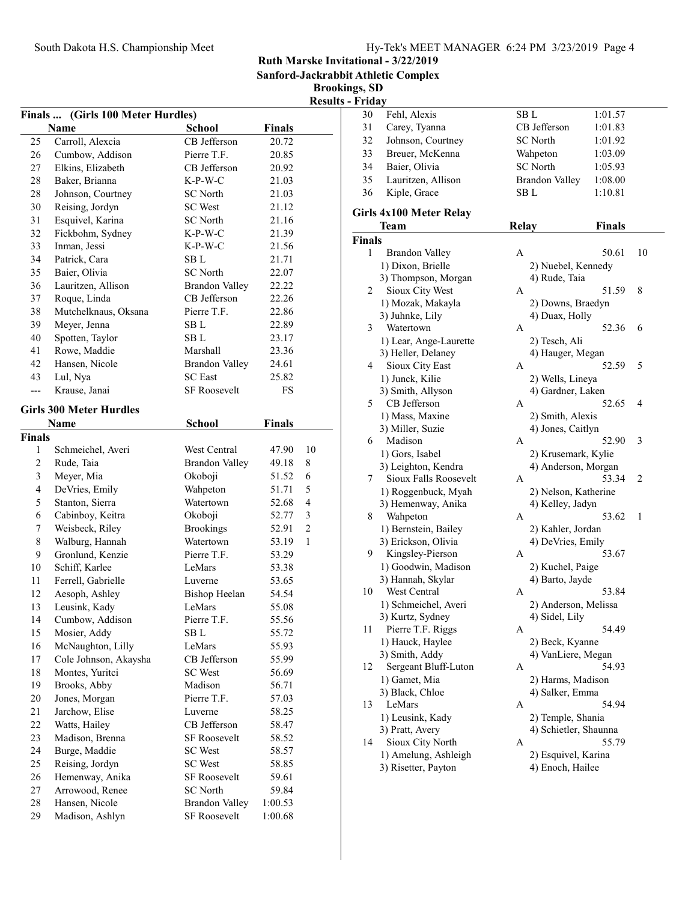| Hy-Tek's MEET MANAGER 6:24 PM 3/23/2019 Page 4 |  |  |  |
|------------------------------------------------|--|--|--|
|------------------------------------------------|--|--|--|

Sanford-Jackrabbit Athletic Complex

Brookings, SD

| Finals  (Girls 100 Meter Hurdles) |                                |                       |               |                |  |
|-----------------------------------|--------------------------------|-----------------------|---------------|----------------|--|
|                                   | <b>Name</b>                    | <b>School</b>         | <b>Finals</b> |                |  |
| 25                                | Carroll, Alexcia               | CB Jefferson          | 20.72         |                |  |
| 26                                | Cumbow, Addison                | Pierre T.F.           | 20.85         |                |  |
| 27                                | Elkins, Elizabeth              | CB Jefferson          | 20.92         |                |  |
| 28                                | Baker, Brianna                 | $K-P-W-C$             | 21.03         |                |  |
| 28                                | Johnson, Courtney              | SC North              | 21.03         |                |  |
| 30                                | Reising, Jordyn                | <b>SC</b> West        | 21.12         |                |  |
| 31                                | Esquivel, Karina               | SC North              | 21.16         |                |  |
| 32                                | Fickbohm, Sydney               | K-P-W-C               | 21.39         |                |  |
| 33                                | Inman, Jessi                   | K-P-W-C               | 21.56         |                |  |
| 34                                | Patrick, Cara                  | SB L                  | 21.71         |                |  |
| 35                                | Baier, Olivia                  | <b>SC</b> North       | 22.07         |                |  |
| 36                                | Lauritzen, Allison             | <b>Brandon Valley</b> | 22.22         |                |  |
| 37                                | Roque, Linda                   | CB Jefferson          | 22.26         |                |  |
| 38                                | Mutchelknaus, Oksana           | Pierre T.F.           | 22.86         |                |  |
| 39                                | Meyer, Jenna                   | SB L                  | 22.89         |                |  |
| 40                                | Spotten, Taylor                | SB L                  | 23.17         |                |  |
| 41                                | Rowe, Maddie                   | Marshall              | 23.36         |                |  |
| 42                                | Hansen, Nicole                 | <b>Brandon Valley</b> | 24.61         |                |  |
| 43                                | Lul, Nya                       | <b>SC</b> East        | 25.82         |                |  |
| $---$                             | Krause, Janai                  | <b>SF Roosevelt</b>   | FS            |                |  |
|                                   |                                |                       |               |                |  |
|                                   | <b>Girls 300 Meter Hurdles</b> |                       |               |                |  |
|                                   | Name                           | <b>School</b>         | <b>Finals</b> |                |  |
| Finals                            |                                |                       |               |                |  |
| 1                                 | Schmeichel, Averi              | West Central          | 47.90         | 10             |  |
| $\mathfrak{2}$                    | Rude, Taia                     | <b>Brandon Valley</b> | 49.18         | 8              |  |
| $\mathfrak{Z}$                    | Meyer, Mia                     | Okoboji               | 51.52         | 6              |  |
| $\overline{\mathbf{4}}$           | DeVries, Emily                 | Wahpeton              | 51.71         | 5              |  |
| 5                                 | Stanton, Sierra                | Watertown             | 52.68         | $\overline{4}$ |  |
| 6                                 | Cabinboy, Keitra               | Okoboji               | 52.77         | 3              |  |
| 7                                 | Weisbeck, Riley                | <b>Brookings</b>      | 52.91         | $\overline{c}$ |  |
| $\,$ $\,$                         | Walburg, Hannah                | Watertown             | 53.19         | $\mathbf{1}$   |  |
| 9                                 | Gronlund, Kenzie               | Pierre T.F.           | 53.29         |                |  |
| 10                                | Schiff, Karlee                 | LeMars                | 53.38         |                |  |
| 11                                | Ferrell, Gabrielle             | Luverne               | 53.65         |                |  |
| 12                                | Aesoph, Ashley                 | <b>Bishop Heelan</b>  | 54.54         |                |  |
| 13                                | Leusink, Kady                  | LeMars                | 55.08         |                |  |
| 14                                | Cumbow, Addison                | Pierre T.F.           | 55.56         |                |  |
| 15                                | Mosier, Addy                   | SB L                  | 55.72         |                |  |
| 16                                | McNaughton, Lilly              | LeMars                | 55.93         |                |  |
| 17                                | Cole Johnson, Akaysha          | CB Jefferson          | 55.99         |                |  |
| 18                                | Montes, Yuritci                | <b>SC</b> West        | 56.69         |                |  |
| 19                                | Brooks, Abby                   | Madison               | 56.71         |                |  |
| $20\,$                            | Jones, Morgan                  | Pierre T.F.           | 57.03         |                |  |
| 21                                | Jarchow, Elise                 | Luverne               | 58.25         |                |  |
| 22                                | Watts, Hailey                  | CB Jefferson          | 58.47         |                |  |
| 23                                | Madison, Brenna                | <b>SF Roosevelt</b>   | 58.52         |                |  |
| 24                                | Burge, Maddie                  | <b>SC</b> West        | 58.57         |                |  |
| 25                                | Reising, Jordyn                | <b>SC</b> West        | 58.85         |                |  |
| 26                                | Hemenway, Anika                | SF Roosevelt          | 59.61         |                |  |
| 27                                | Arrowood, Renee                | <b>SC</b> North       | 59.84         |                |  |
| 28                                | Hansen, Nicole                 | <b>Brandon Valley</b> | 1:00.53       |                |  |
| 29                                | Madison, Ashlyn                | SF Roosevelt          | 1:00.68       |                |  |

| 30            | Fehl, Alexis                           | SB L                                     | 1:01.57       |              |
|---------------|----------------------------------------|------------------------------------------|---------------|--------------|
| 31            | Carey, Tyanna                          | CB Jefferson                             | 1:01.83       |              |
| 32            | Johnson, Courtney                      | <b>SC</b> North                          | 1:01.92       |              |
| 33            | Breuer, McKenna                        | Wahpeton                                 | 1:03.09       |              |
| 34            | Baier, Olivia                          | <b>SC</b> North                          | 1:05.93       |              |
| 35            | Lauritzen, Allison                     | <b>Brandon Valley</b>                    | 1:08.00       |              |
| 36            | Kiple, Grace                           | SB L                                     | 1:10.81       |              |
|               |                                        |                                          |               |              |
|               | Girls 4x100 Meter Relay<br>Team        | <b>Relay</b>                             | <b>Finals</b> |              |
| <b>Finals</b> |                                        |                                          |               |              |
| 1             | <b>Brandon Valley</b>                  | Α                                        | 50.61         | 10           |
|               |                                        |                                          |               |              |
|               | 1) Dixon, Brielle                      | 2) Nuebel, Kennedy                       |               |              |
|               | 3) Thompson, Morgan<br>Sioux City West | 4) Rude, Taia<br>А                       | 51.59         | 8            |
| 2             | 1) Mozak, Makayla                      |                                          |               |              |
|               | 3) Juhnke, Lily                        | 2) Downs, Braedyn                        |               |              |
| 3             | Watertown                              | 4) Duax, Holly<br>A                      | 52.36         | 6            |
|               |                                        |                                          |               |              |
|               | 1) Lear, Ange-Laurette                 | 2) Tesch, Ali                            |               |              |
| 4             | 3) Heller, Delaney                     | 4) Hauger, Megan                         |               |              |
|               | Sioux City East                        | А                                        | 52.59         | 5            |
|               | 1) Junck, Kilie                        | 2) Wells, Lineya                         |               |              |
|               | 3) Smith, Allyson<br>CB Jefferson      | 4) Gardner, Laken                        | 52.65         | 4            |
| 5             |                                        | А                                        |               |              |
|               | 1) Mass, Maxine                        | 2) Smith, Alexis                         |               |              |
|               | 3) Miller, Suzie<br>Madison            | 4) Jones, Caitlyn<br>A                   |               |              |
| 6             |                                        |                                          | 52.90         | 3            |
|               | 1) Gors, Isabel<br>3) Leighton, Kendra | 2) Krusemark, Kylie                      |               |              |
| 7             | Sioux Falls Roosevelt                  | 4) Anderson, Morgan<br>A                 | 53.34         | 2            |
|               | 1) Roggenbuck, Myah                    |                                          |               |              |
|               | 3) Hemenway, Anika                     | 2) Nelson, Katherine<br>4) Kelley, Jadyn |               |              |
| 8             | Wahpeton                               | A                                        | 53.62         | $\mathbf{1}$ |
|               | 1) Bernstein, Bailey                   | 2) Kahler, Jordan                        |               |              |
|               | 3) Erickson, Olivia                    | 4) DeVries, Emily                        |               |              |
| 9             | Kingsley-Pierson                       | А                                        | 53.67         |              |
|               | 1) Goodwin, Madison                    | 2) Kuchel, Paige                         |               |              |
|               | 3) Hannah, Skylar                      | 4) Barto, Jayde                          |               |              |
| 10            | West Central                           | А                                        | 53.84         |              |
|               | 1) Schmeichel, Averi                   | 2) Anderson, Melissa                     |               |              |
|               | 3) Kurtz, Sydney                       | 4) Sidel, Lily                           |               |              |
| 11            | Pierre T.F. Riggs                      | А                                        | 54.49         |              |
|               | 1) Hauck, Haylee                       | 2) Beck, Kyanne                          |               |              |
|               | 3) Smith, Addy                         | 4) VanLiere, Megan                       |               |              |
| 12            | Sergeant Bluff-Luton                   | А                                        | 54.93         |              |
|               | 1) Gamet, Mia                          | 2) Harms, Madison                        |               |              |
|               | 3) Black, Chloe                        | 4) Salker, Emma                          |               |              |
| 13            | LeMars                                 | А                                        | 54.94         |              |
|               | 1) Leusink, Kady                       | 2) Temple, Shania                        |               |              |
|               | 3) Pratt, Avery                        | 4) Schietler, Shaunna                    |               |              |
| 14            | Sioux City North                       | А                                        | 55.79         |              |
|               | 1) Amelung, Ashleigh                   | 2) Esquivel, Karina                      |               |              |
|               | 3) Risetter, Payton                    | 4) Enoch, Hailee                         |               |              |
|               |                                        |                                          |               |              |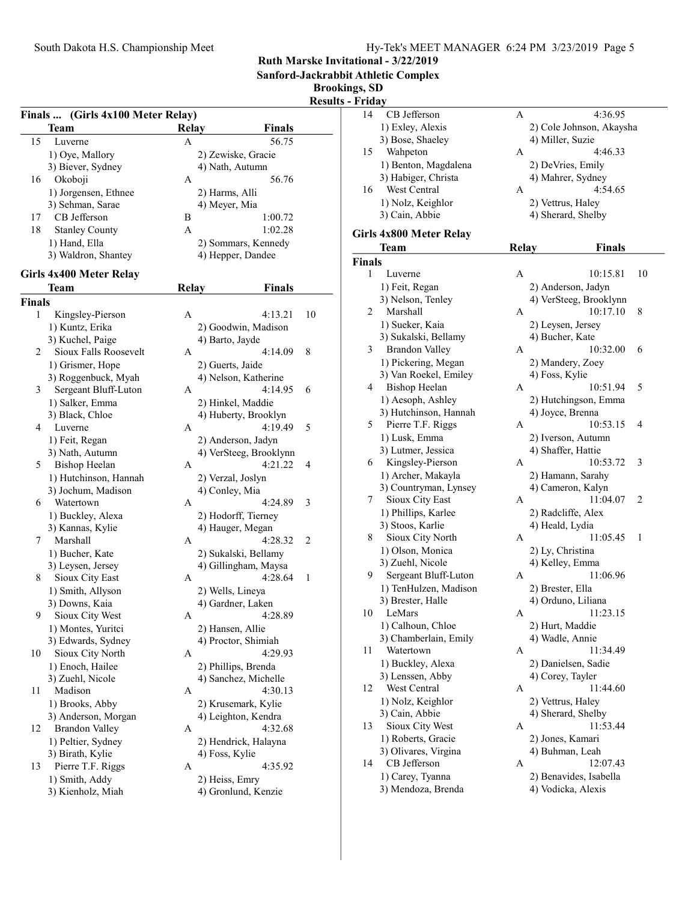Sanford-Jackrabbit Athletic Complex

Brookings, SD

|        | Finals  (Girls 4x100 Meter Relay)   |              |                                             | rrou |
|--------|-------------------------------------|--------------|---------------------------------------------|------|
|        | Team                                | <b>Relay</b> | <b>Finals</b>                               |      |
| 15     | Luverne                             | A            | 56.75                                       |      |
|        | 1) Oye, Mallory                     |              | 2) Zewiske, Gracie                          |      |
|        | 3) Biever, Sydney                   |              | 4) Nath, Autumn                             |      |
| 16     | Okoboji                             | A            | 56.76                                       |      |
|        | 1) Jorgensen, Ethnee                |              | 2) Harms, Alli                              |      |
|        | 3) Sehman, Sarae                    |              | 4) Meyer, Mia                               |      |
| 17     | CB Jefferson                        | B            | 1:00.72                                     |      |
| 18     | <b>Stanley County</b>               | A            | 1:02.28                                     |      |
|        | 1) Hand, Ella                       |              | 2) Sommars, Kennedy                         |      |
|        | 3) Waldron, Shantey                 |              | 4) Hepper, Dandee                           |      |
|        |                                     |              |                                             |      |
|        | Girls 4x400 Meter Relay             |              |                                             |      |
|        | <b>Team</b>                         | <b>Relay</b> | Finals                                      |      |
| Finals |                                     |              |                                             |      |
| 1      | Kingsley-Pierson                    | А            | 4:13.21                                     | 10   |
|        | 1) Kuntz, Erika                     |              | 2) Goodwin, Madison                         |      |
|        | 3) Kuchel, Paige                    |              | 4) Barto, Jayde                             |      |
| 2      | Sioux Falls Roosevelt               | A            | 4:14.09                                     | 8    |
|        | 1) Grismer, Hope                    |              | 2) Guerts, Jaide                            |      |
|        | 3) Roggenbuck, Myah                 |              | 4) Nelson, Katherine                        |      |
| 3      | Sergeant Bluff-Luton                | А            | 4:14.95                                     | 6    |
|        | 1) Salker, Emma                     |              | 2) Hinkel, Maddie                           |      |
|        | 3) Black, Chloe                     |              | 4) Huberty, Brooklyn                        |      |
| 4      | Luverne                             | A            | 4:19.49                                     | 5    |
|        | 1) Feit, Regan                      |              | 2) Anderson, Jadyn                          |      |
|        | 3) Nath, Autumn                     |              | 4) VerSteeg, Brooklynn                      |      |
| 5      | <b>Bishop Heelan</b>                | A            | 4:21.22                                     | 4    |
|        | 1) Hutchinson, Hannah               |              | 2) Verzal, Joslyn                           |      |
|        | 3) Jochum, Madison                  |              | 4) Conley, Mia                              |      |
| 6      | Watertown                           | А            | 4:24.89                                     | 3    |
|        | 1) Buckley, Alexa                   |              | 2) Hodorff, Tierney                         |      |
|        | 3) Kannas, Kylie                    |              | 4) Hauger, Megan                            |      |
| 7      | Marshall                            | A            | 4:28.32                                     | 2    |
|        | 1) Bucher, Kate                     |              | 2) Sukalski, Bellamy                        |      |
|        | 3) Leysen, Jersey                   |              | 4) Gillingham, Maysa                        |      |
| 8      | Sioux City East                     | А            | 4:28.64                                     | 1    |
|        | 1) Smith, Allyson                   |              | 2) Wells, Lineya                            |      |
|        | 3) Downs, Kaia                      |              | 4) Gardner, Laken                           |      |
| 9      | Sioux City West                     | A            | 4:28.89                                     |      |
|        | 1) Montes, Yuritci                  |              | 2) Hansen, Allie                            |      |
|        | 3) Edwards, Sydney                  |              | 4) Proctor, Shimiah                         |      |
| 10     | Sioux City North                    | А            | 4:29.93                                     |      |
|        | 1) Enoch, Hailee                    |              | 2) Phillips, Brenda<br>4) Sanchez, Michelle |      |
|        | 3) Zuehl, Nicole<br>Madison         |              | 4:30.13                                     |      |
| 11     |                                     | A            |                                             |      |
|        | 1) Brooks, Abby                     |              | 2) Krusemark, Kylie                         |      |
| 12     | 3) Anderson, Morgan                 |              | 4) Leighton, Kendra                         |      |
|        | <b>Brandon Valley</b>               | А            | 4:32.68                                     |      |
|        | 1) Peltier, Sydney                  |              | 2) Hendrick, Halayna                        |      |
|        | 3) Birath, Kylie                    |              | 4) Foss, Kylie                              |      |
| 13     | Pierre T.F. Riggs                   | A            | 4:35.92                                     |      |
|        | 1) Smith, Addy<br>3) Kienholz, Miah |              | 2) Heiss, Emry<br>4) Gronlund, Kenzie       |      |
|        |                                     |              |                                             |      |

| г ниа у       |                         |       |                             |    |
|---------------|-------------------------|-------|-----------------------------|----|
| 14            | CB Jefferson            | Α     | 4:36.95                     |    |
|               | 1) Exley, Alexis        |       | 2) Cole Johnson, Akaysha    |    |
|               | 3) Bose, Shaeley        |       | 4) Miller, Suzie            |    |
| 15            | Wahpeton                | A     | 4:46.33                     |    |
|               | 1) Benton, Magdalena    |       | 2) DeVries, Emily           |    |
|               | 3) Habiger, Christa     |       | 4) Mahrer, Sydney           |    |
| 16            | West Central            | А     | 4:54.65                     |    |
|               |                         |       |                             |    |
|               | 1) Nolz, Keighlor       |       | 2) Vettrus, Haley           |    |
|               | 3) Cain, Abbie          |       | 4) Sherard, Shelby          |    |
|               | Girls 4x800 Meter Relay |       |                             |    |
|               | Team                    | Relay | <b>Finals</b>               |    |
| <b>Finals</b> |                         |       |                             |    |
| 1             | Luverne                 | Α     | 10:15.81                    | 10 |
|               |                         |       |                             |    |
|               | 1) Feit, Regan          |       | 2) Anderson, Jadyn          |    |
|               | 3) Nelson, Tenley       |       | 4) VerSteeg, Brooklynn      |    |
| 2             | Marshall                | A     | 10:17.10                    | 8  |
|               | 1) Sueker, Kaia         |       | 2) Leysen, Jersey           |    |
|               | 3) Sukalski, Bellamy    |       | 4) Bucher, Kate             |    |
| 3             | <b>Brandon Valley</b>   | A     | 10:32.00                    | 6  |
|               | 1) Pickering, Megan     |       | 2) Mandery, Zoey            |    |
|               | 3) Van Roekel, Emiley   |       | 4) Foss, Kylie              |    |
| 4             | <b>Bishop Heelan</b>    | A     | 10:51.94                    | 5  |
|               | 1) Aesoph, Ashley       |       | 2) Hutchingson, Emma        |    |
|               | 3) Hutchinson, Hannah   |       | 4) Joyce, Brenna            |    |
| 5.            | Pierre T.F. Riggs       | A     | 10:53.15                    | 4  |
|               | 1) Lusk, Emma           |       | 2) Iverson, Autumn          |    |
|               | 3) Lutmer, Jessica      |       | 4) Shaffer, Hattie          |    |
| 6             | Kingsley-Pierson        | A     | 10:53.72                    | 3  |
|               | 1) Archer, Makayla      |       | 2) Hamann, Sarahy           |    |
|               | 3) Countryman, Lynsey   |       | 4) Cameron, Kalyn           |    |
| 7             | Sioux City East         | Α     | 11:04.07                    | 2  |
|               |                         |       |                             |    |
|               | 1) Phillips, Karlee     |       | 2) Radcliffe, Alex          |    |
|               | 3) Stoos, Karlie        |       | 4) Heald, Lydia<br>11:05.45 |    |
| 8             | Sioux City North        | A     |                             | 1  |
|               | 1) Olson, Monica        |       | 2) Ly, Christina            |    |
|               | 3) Zuehl, Nicole        |       | 4) Kelley, Emma             |    |
| 9             | Sergeant Bluff-Luton    | A     | 11:06.96                    |    |
|               | 1) TenHulzen, Madison   |       | 2) Brester, Ella            |    |
|               | 3) Brester, Halle       |       | 4) Orduno, Liliana          |    |
|               | 10 LeMars               | A     | 11:23.15                    |    |
|               | 1) Calhoun, Chloe       |       | 2) Hurt, Maddie             |    |
|               | 3) Chamberlain, Emily   |       | 4) Wadle, Annie             |    |
| 11            | Watertown               | А     | 11:34.49                    |    |
|               | 1) Buckley, Alexa       |       | 2) Danielsen, Sadie         |    |
|               | 3) Lenssen, Abby        |       | 4) Corey, Tayler            |    |
| 12            | West Central            | Α     | 11:44.60                    |    |
|               | 1) Nolz, Keighlor       |       | 2) Vettrus, Haley           |    |
|               | 3) Cain, Abbie          |       | 4) Sherard, Shelby          |    |
| 13            | Sioux City West         | А     | 11:53.44                    |    |
|               | 1) Roberts, Gracie      |       | 2) Jones, Kamari            |    |
|               | 3) Olivares, Virgina    |       | 4) Buhman, Leah             |    |
| 14            | CB Jefferson            | А     | 12:07.43                    |    |
|               | 1) Carey, Tyanna        |       | 2) Benavides, Isabella      |    |
|               | 3) Mendoza, Brenda      |       | 4) Vodicka, Alexis          |    |
|               |                         |       |                             |    |
|               |                         |       |                             |    |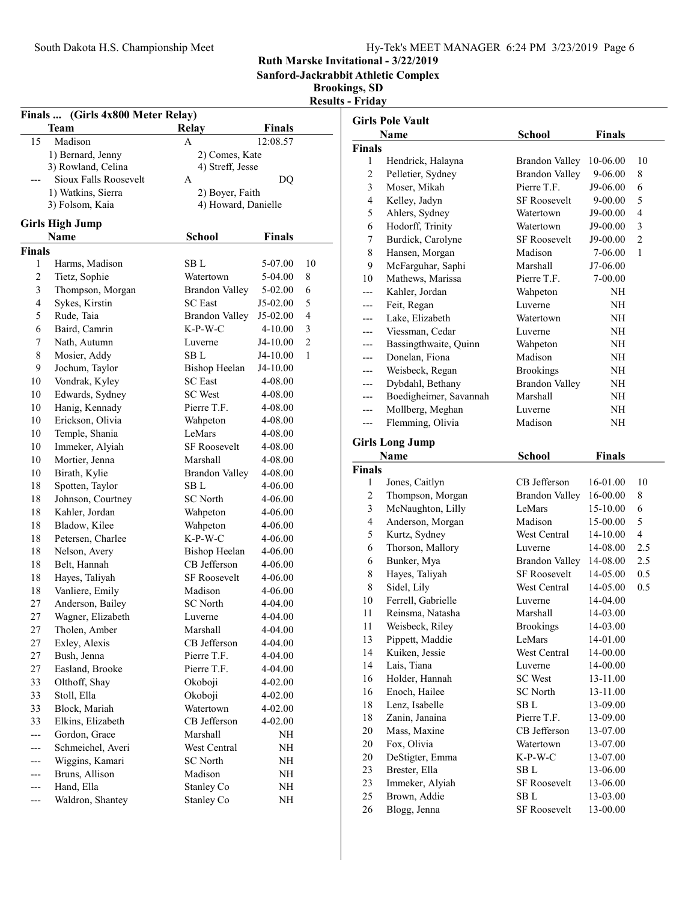| Hy-Tek's MEET MANAGER 6:24 PM 3/23/2019 Page 6 |  |  |  |
|------------------------------------------------|--|--|--|
|------------------------------------------------|--|--|--|

Sanford-Jackrabbit Athletic Complex

| <b>Results - Fridav</b> |  |  |
|-------------------------|--|--|
|                         |  |  |

| Finals  (Girls 4x800 Meter Relay) |                        |                       |               |                |
|-----------------------------------|------------------------|-----------------------|---------------|----------------|
|                                   | <b>Team</b>            | <b>Relay</b>          | <b>Finals</b> |                |
| 15                                | Madison                | A                     | 12:08.57      |                |
|                                   | 1) Bernard, Jenny      | 2) Comes, Kate        |               |                |
|                                   | 3) Rowland, Celina     | 4) Streff, Jesse      |               |                |
|                                   | Sioux Falls Roosevelt  | A                     | DQ            |                |
|                                   | 1) Watkins, Sierra     | 2) Boyer, Faith       |               |                |
|                                   | 3) Folsom, Kaia        | 4) Howard, Danielle   |               |                |
|                                   | <b>Girls High Jump</b> |                       |               |                |
|                                   | <b>Name</b>            | <b>School</b>         | <b>Finals</b> |                |
| <b>Finals</b>                     |                        |                       |               |                |
| 1                                 | Harms, Madison         | SB L                  | 5-07.00       | 10             |
| 2                                 | Tietz, Sophie          | Watertown             | 5-04.00       | 8              |
| 3                                 | Thompson, Morgan       | <b>Brandon Valley</b> | 5-02.00       | 6              |
| $\overline{4}$                    | Sykes, Kirstin         | <b>SC</b> East        | J5-02.00      | 5              |
| 5                                 | Rude, Taia             | <b>Brandon Valley</b> | J5-02.00      | $\overline{4}$ |
| 6                                 | Baird, Camrin          | $K-P-W-C$             | $4 - 10.00$   | 3              |
| 7                                 | Nath, Autumn           | Luverne               | J4-10.00      | $\overline{2}$ |
| 8                                 | Mosier, Addy           | SB L                  | J4-10.00      | 1              |
| 9                                 | Jochum, Taylor         | <b>Bishop Heelan</b>  | J4-10.00      |                |
| 10                                | Vondrak, Kyley         | <b>SC</b> East        | 4-08.00       |                |
| 10                                | Edwards, Sydney        | <b>SC</b> West        | 4-08.00       |                |
| 10                                | Hanig, Kennady         | Pierre T.F.           | 4-08.00       |                |
| 10                                | Erickson, Olivia       | Wahpeton              | 4-08.00       |                |
| 10                                | Temple, Shania         | LeMars                | 4-08.00       |                |
| 10                                | Immeker, Alyiah        | <b>SF Roosevelt</b>   | 4-08.00       |                |
| 10                                | Mortier, Jenna         | Marshall              | 4-08.00       |                |
| 10                                | Birath, Kylie          | <b>Brandon Valley</b> | 4-08.00       |                |
| 18                                | Spotten, Taylor        | SB L                  | 4-06.00       |                |
| 18                                | Johnson, Courtney      | <b>SC</b> North       | 4-06.00       |                |
| 18                                | Kahler, Jordan         | Wahpeton              | 4-06.00       |                |
| 18                                | Bladow, Kilee          | Wahpeton              | 4-06.00       |                |
| 18                                | Petersen, Charlee      | K-P-W-C               | 4-06.00       |                |
| 18                                | Nelson, Avery          | Bishop Heelan         | 4-06.00       |                |
| 18                                | Belt, Hannah           | CB Jefferson          | 4-06.00       |                |
| 18                                | Hayes, Taliyah         | <b>SF Roosevelt</b>   | 4-06.00       |                |
| 18                                | Vanliere, Emily        | Madison               | 4-06.00       |                |
| 27                                | Anderson, Bailey       | <b>SC</b> North       | 4-04.00       |                |
| 27                                | Wagner, Elizabeth      | Luverne               | 4-04.00       |                |
| 27                                | Tholen, Amber          | Marshall              | 4-04.00       |                |
| 27                                | Exley, Alexis          | CB Jefferson          | 4-04.00       |                |
| 27                                | Bush, Jenna            | Pierre T.F.           | 4-04.00       |                |
| 27                                | Easland, Brooke        | Pierre T.F.           | 4-04.00       |                |
| 33                                | Olthoff, Shay          | Okoboji               | 4-02.00       |                |
| 33                                | Stoll, Ella            | Okoboji               | 4-02.00       |                |
| 33                                | Block, Mariah          | Watertown             | 4-02.00       |                |
| 33                                | Elkins, Elizabeth      | CB Jefferson          | 4-02.00       |                |
| ---                               | Gordon, Grace          | Marshall              | NH            |                |
| ---                               | Schmeichel, Averi      | West Central          | NH            |                |
|                                   | Wiggins, Kamari        | <b>SC</b> North       | NH            |                |
| ---                               | Bruns, Allison         | Madison               | NH            |                |
|                                   | Hand, Ella             | Stanley Co            | NH            |                |
| ---                               | Waldron, Shantey       | Stanley Co            | NH            |                |

|                | <b>Girls Pole Vault</b>         |                             |                      |                |
|----------------|---------------------------------|-----------------------------|----------------------|----------------|
|                | Name                            | <b>School</b>               | <b>Finals</b>        |                |
| <b>Finals</b>  |                                 |                             |                      |                |
| 1              | Hendrick, Halayna               | <b>Brandon Valley</b>       | 10-06.00             | 10             |
| 2              | Pelletier, Sydney               | <b>Brandon Valley</b>       | 9-06.00              | 8              |
| 3              | Moser, Mikah                    | Pierre T.F.                 | J9-06.00             | 6              |
| 4              | Kelley, Jadyn                   | <b>SF Roosevelt</b>         | 9-00.00              | 5              |
| 5              | Ahlers, Sydney                  | Watertown                   | J9-00.00             | 4              |
| 6              | Hodorff, Trinity                | Watertown                   | J9-00.00             | 3              |
| 7              | Burdick, Carolyne               | <b>SF Roosevelt</b>         | J9-00.00             | $\overline{c}$ |
| 8              | Hansen, Morgan                  | Madison                     | 7-06.00              | 1              |
| 9              | McFarguhar, Saphi               | Marshall                    | J7-06.00             |                |
| 10             | Mathews, Marissa                | Pierre T.F.                 | 7-00.00              |                |
| ---            | Kahler, Jordan                  | Wahpeton                    | NΗ                   |                |
| ---            | Feit, Regan                     | Luverne                     | NΗ                   |                |
| ---            | Lake, Elizabeth                 | Watertown                   | NH                   |                |
| ---            | Viessman, Cedar                 | Luverne                     | NΗ                   |                |
| ---            | Bassingthwaite, Quinn           | Wahpeton                    | NΗ                   |                |
| ---            | Donelan, Fiona                  | Madison                     | NΗ                   |                |
| ---            | Weisbeck, Regan                 | <b>Brookings</b>            | NH                   |                |
| ---            | Dybdahl, Bethany                | <b>Brandon Valley</b>       | NH                   |                |
| ---            | Boedigheimer, Savannah          | Marshall                    | NΗ                   |                |
| ---            | Mollberg, Meghan                | Luverne                     | NΗ                   |                |
| $---$          | Flemming, Olivia                | Madison                     | NΗ                   |                |
|                | <b>Girls Long Jump</b>          |                             |                      |                |
|                | <b>Name</b>                     | <b>School</b>               | <b>Finals</b>        |                |
| <b>Finals</b>  |                                 |                             |                      |                |
| 1              | Jones, Caitlyn                  | CB Jefferson                | 16-01.00             | 10             |
| 2              | Thompson, Morgan                | <b>Brandon Valley</b>       | 16-00.00             | 8              |
| 3              | McNaughton, Lilly               | LeMars                      | 15-10.00             | 6              |
| $\overline{4}$ | Anderson, Morgan                | Madison                     | 15-00.00             | 5              |
| 5              | Kurtz, Sydney                   | West Central                | 14-10.00             | 4              |
| 6              | Thorson, Mallory                | Luverne                     | 14-08.00             | 2.5            |
| 6              | Bunker, Mya                     | <b>Brandon Valley</b>       | 14-08.00             | 2.5            |
| 8              | Hayes, Taliyah                  | <b>SF Roosevelt</b>         | 14-05.00             | 0.5            |
| 8              | Sidel, Lily                     | West Central                | 14-05.00             | 0.5            |
| 10             | Ferrell, Gabrielle              | Luverne                     | 14-04.00             |                |
| 11             | Reinsma, Natasha                | Marshall                    | 14-03.00             |                |
| 11             | Weisbeck, Riley                 | <b>Brookings</b>            | 14-03.00             |                |
| 13             | Pippett, Maddie                 | LeMars                      | 14-01.00             |                |
| 14             | Kuiken, Jessie                  | West Central                | 14-00.00             |                |
| 14             | Lais, Tiana                     | Luverne                     | 14-00.00             |                |
| 16             | Holder, Hannah                  | <b>SC</b> West              | 13-11.00             |                |
| 16             | Enoch, Hailee                   | <b>SC</b> North             | 13-11.00             |                |
| 18             | Lenz, Isabelle                  | SB L                        | 13-09.00             |                |
| 18             | Zanin, Janaina                  | Pierre T.F.                 | 13-09.00             |                |
| 20             | Mass, Maxine                    | CB Jefferson                | 13-07.00             |                |
| 20             | Fox, Olivia                     | Watertown                   | 13-07.00             |                |
| 20             | DeStigter, Emma                 | $K-P-W-C$                   | 13-07.00             |                |
| 23             |                                 |                             |                      |                |
|                |                                 |                             |                      |                |
|                | Brester, Ella                   | SB L<br><b>SF Roosevelt</b> | 13-06.00             |                |
| 23<br>25       | Immeker, Alyiah<br>Brown, Addie | SB L                        | 13-06.00<br>13-03.00 |                |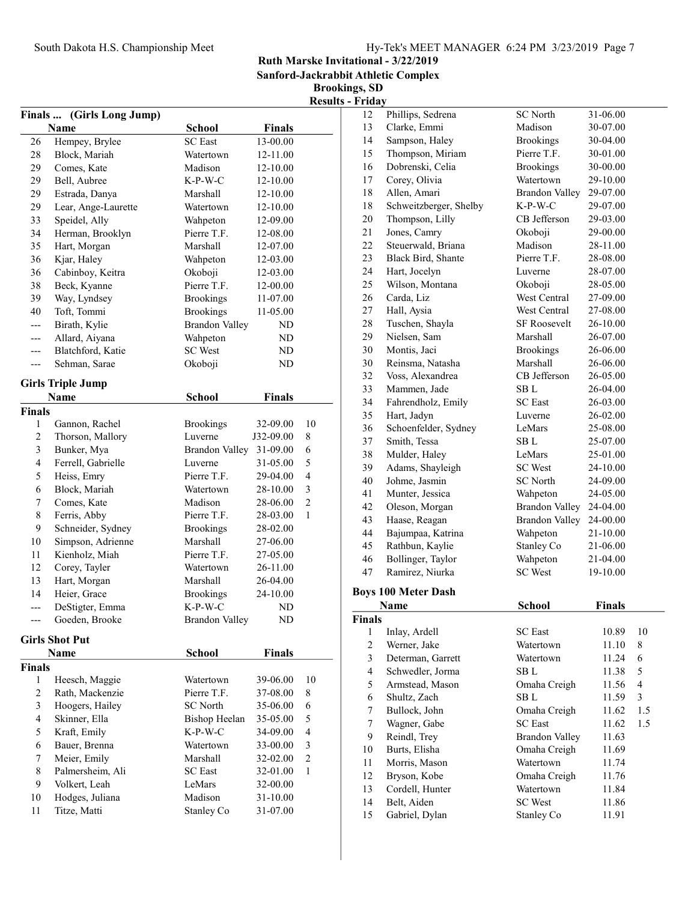Sanford-Jackrabbit Athletic Complex

Brookings, SD

|                |                                  |                       |                          |                         | <b>Results - Friday</b>        |
|----------------|----------------------------------|-----------------------|--------------------------|-------------------------|--------------------------------|
|                | Finals  (Girls Long Jump)        |                       |                          |                         | 12                             |
|                | Name                             | <b>School</b>         | <b>Finals</b>            |                         | 13                             |
| 26             | Hempey, Brylee                   | <b>SC</b> East        | 13-00.00                 |                         | 14                             |
| 28             | Block, Mariah                    | Watertown             | 12-11.00                 |                         | 15                             |
| 29             | Comes, Kate                      | Madison               | 12-10.00                 |                         | 16                             |
| 29             | Bell, Aubree                     | $K-P-W-C$             | 12-10.00                 |                         | 17                             |
| 29             | Estrada, Danya                   | Marshall              | 12-10.00                 |                         | 18                             |
| 29             | Lear, Ange-Laurette              | Watertown             | 12-10.00                 |                         | 18                             |
| 33             | Speidel, Ally                    | Wahpeton              | 12-09.00                 |                         | ŗ<br>20                        |
| 34             | Herman, Brooklyn                 | Pierre T.F.           | 12-08.00                 |                         | 21                             |
| 35             | Hart, Morgan                     | Marshall              | 12-07.00                 |                         | 22                             |
| 36             | Kjar, Haley                      | Wahpeton              | 12-03.00                 |                         | 23                             |
| 36             | Cabinboy, Keitra                 | Okoboji               | 12-03.00                 |                         | 24                             |
| 38             | Beck, Kyanne                     | Pierre T.F.           | 12-00.00                 |                         | 25                             |
| 39             | Way, Lyndsey                     | <b>Brookings</b>      | 11-07.00                 |                         | 26                             |
| 40             | Toft, Tommi                      | <b>Brookings</b>      | 11-05.00                 |                         | 27                             |
| ---            | Birath, Kylie                    | <b>Brandon Valley</b> | ND                       |                         | 28                             |
| ---            | Allard, Aiyana                   | Wahpeton              | ND                       |                         | 29<br>l                        |
| ---            | Blatchford, Katie                | <b>SC</b> West        | ND                       |                         | 30<br>I                        |
| ---            | Sehman, Sarae                    | Okoboji               | ND                       |                         | 30<br>I                        |
|                |                                  |                       |                          |                         | 32                             |
|                | <b>Girls Triple Jump</b>         |                       |                          |                         | 33<br>I                        |
|                | Name                             | School                | <b>Finals</b>            |                         | 34<br>l                        |
| Finals         |                                  |                       |                          |                         | 35<br>I                        |
| $\mathbf{1}$   | Gannon, Rachel                   | <b>Brookings</b>      | 32-09.00                 | 10                      | 36                             |
| $\overline{c}$ | Thorson, Mallory                 | Luverne               | J32-09.00                | 8                       | 37                             |
| 3              | Bunker, Mya                      | Brandon Valley        | 31-09.00                 | 6                       | 38<br>I                        |
| $\overline{4}$ | Ferrell, Gabrielle               | Luverne               | 31-05.00                 | 5                       | 39<br>Ź                        |
| 5              | Heiss, Emry                      | Pierre T.F.           | 29-04.00                 | 4                       | 40                             |
| 6              | Block, Mariah                    | Watertown             | 28-10.00                 | 3                       | 41<br>I                        |
| 7              | Comes, Kate                      | Madison               | 28-06.00                 | $\overline{c}$          | 42<br>$\overline{\phantom{a}}$ |
| 8              | Ferris, Abby                     | Pierre T.F.           | 28-03.00                 | 1                       | 43<br>I                        |
| 9              | Schneider, Sydney                | <b>Brookings</b>      | 28-02.00                 |                         | 44<br>l                        |
| 10             | Simpson, Adrienne                | Marshall              | 27-06.00                 |                         | 45<br>I                        |
| 11             | Kienholz, Miah                   | Pierre T.F.           | 27-05.00                 |                         | 46                             |
| 12             | Corey, Tayler                    | Watertown             | 26-11.00                 |                         | 47<br>I                        |
| 13             | Hart, Morgan                     | Marshall              | 26-04.00                 |                         |                                |
| 14             | Heier, Grace                     | <b>Brookings</b>      | 24-10.00                 |                         | <b>Boys 10</b>                 |
|                | DeStigter, Emma                  | K-P-W-C               | ND                       |                         | N                              |
| ---            | Goeden, Brooke                   | <b>Brandon Valley</b> | ND                       |                         | Finals                         |
|                | <b>Girls Shot Put</b>            |                       |                          |                         | 1                              |
|                | Name                             | <b>School</b>         | <b>Finals</b>            |                         | 2                              |
| Finals         |                                  |                       |                          |                         | 3                              |
| $\mathbf{1}$   | Heesch, Maggie                   | Watertown             | 39-06.00                 | 10                      | $\overline{4}$                 |
| $\overline{c}$ | Rath, Mackenzie                  | Pierre T.F.           | 37-08.00                 | 8                       | 5                              |
| $\mathfrak{Z}$ | Hoogers, Hailey                  | <b>SC</b> North       | 35-06.00                 | 6                       | 6                              |
| $\overline{4}$ | Skinner, Ella                    | <b>Bishop Heelan</b>  |                          | 5                       | 7                              |
| 5              | Kraft, Emily                     | $K-P-W-C$             | 35-05.00<br>34-09.00     | $\overline{\mathbf{4}}$ | $\tau$                         |
| 6              | Bauer, Brenna                    | Watertown             | 33-00.00                 | 3                       | 9<br>l                         |
| 7              | Meier, Emily                     | Marshall              |                          | $\overline{c}$          | 10<br>J                        |
| 8              | Palmersheim, Ali                 | <b>SC</b> East        | 32-02.00<br>32-01.00     | $\mathbf{1}$            | 11<br>I                        |
| 9              |                                  | LeMars                |                          |                         | 12                             |
| 10             | Volkert, Leah<br>Hodges, Juliana | Madison               | 32-00.00<br>$31 - 10.00$ |                         | 13                             |
|                |                                  | Stanley Co            |                          |                         | 14                             |
| 11             | Titze, Matti                     |                       | 31-07.00                 |                         | 15                             |

| 12                  | Phillips, Sedrena             | <b>SC</b> North              | 31-06.00      |                         |
|---------------------|-------------------------------|------------------------------|---------------|-------------------------|
| 13                  | Clarke, Emmi                  | Madison                      | 30-07.00      |                         |
| 14                  | Sampson, Haley                | <b>Brookings</b>             | 30-04.00      |                         |
| 15                  | Thompson, Miriam              | Pierre T.F.                  | 30-01.00      |                         |
| 16                  | Dobrenski, Celia              | <b>Brookings</b>             | 30-00.00      |                         |
| 17                  | Corey, Olivia                 | Watertown                    | 29-10.00      |                         |
| 18                  | Allen, Amari                  | <b>Brandon Valley</b>        | 29-07.00      |                         |
| 18                  | Schweitzberger, Shelby        | $K-P-W-C$                    | 29-07.00      |                         |
| 20                  | Thompson, Lilly               | CB Jefferson                 | 29-03.00      |                         |
| 21                  | Jones, Camry                  | Okoboji                      | 29-00.00      |                         |
| 22                  | Steuerwald, Briana            | Madison                      | 28-11.00      |                         |
| 23                  | Black Bird, Shante            | Pierre T.F.                  | 28-08.00      |                         |
| 24                  | Hart, Jocelyn                 | Luverne                      | 28-07.00      |                         |
| 25                  | Wilson, Montana               | Okoboji                      | 28-05.00      |                         |
| 26                  | Carda, Liz                    | West Central                 | 27-09.00      |                         |
| $27\,$              | Hall, Aysia                   | West Central                 | 27-08.00      |                         |
| 28                  | Tuschen, Shayla               | <b>SF Roosevelt</b>          | 26-10.00      |                         |
|                     | Nielsen, Sam                  | Marshall                     |               |                         |
| 29                  |                               |                              | 26-07.00      |                         |
| 30                  | Montis, Jaci                  | <b>Brookings</b>             | 26-06.00      |                         |
| 30                  | Reinsma, Natasha              | Marshall                     | 26-06.00      |                         |
| 32                  | Voss, Alexandrea              | CB Jefferson                 | 26-05.00      |                         |
| 33                  | Mammen, Jade                  | SB L                         | 26-04.00      |                         |
| 34                  | Fahrendholz, Emily            | <b>SC</b> East               | 26-03.00      |                         |
| 35                  | Hart, Jadyn                   | Luverne                      | 26-02.00      |                         |
| 36                  | Schoenfelder, Sydney          | LeMars                       | 25-08.00      |                         |
| 37                  | Smith, Tessa                  | SB L                         | 25-07.00      |                         |
| 38                  | Mulder, Haley                 | LeMars                       | 25-01.00      |                         |
| 39                  | Adams, Shayleigh              | <b>SC</b> West               | 24-10.00      |                         |
| 40                  | Johme, Jasmin                 | SC North                     | 24-09.00      |                         |
| 41                  | Munter, Jessica               | Wahpeton                     | 24-05.00      |                         |
| 42                  | Oleson, Morgan                | <b>Brandon Valley</b>        | 24-04.00      |                         |
| 43                  | Haase, Reagan                 | <b>Brandon Valley</b>        | 24-00.00      |                         |
| 44                  | Bajumpaa, Katrina             | Wahpeton                     | 21-10.00      |                         |
| 45                  | Rathbun, Kaylie               | Stanley Co                   | 21-06.00      |                         |
| 46                  | Bollinger, Taylor             | Wahpeton                     | 21-04.00      |                         |
| 47                  | Ramirez, Niurka               | <b>SC</b> West               | 19-10.00      |                         |
|                     | <b>Boys 100 Meter Dash</b>    |                              |               |                         |
|                     | Name                          | <b>School</b>                | <b>Finals</b> |                         |
|                     |                               |                              |               |                         |
| <b>Finals</b>       |                               |                              |               | 10                      |
| 1<br>$\overline{c}$ | Inlay, Ardell<br>Werner, Jake | <b>SC</b> East               | 10.89         |                         |
|                     |                               | Watertown                    | 11.10         | 8                       |
| 3                   | Determan, Garrett             | Watertown<br>SB <sub>L</sub> | 11.24         | 6                       |
| 4                   | Schwedler, Jorma              |                              | 11.38         | 5                       |
| 5                   | Armstead, Mason               | Omaha Creigh                 | 11.56         | $\overline{\mathbf{4}}$ |
| 6                   | Shultz, Zach                  | SB L                         | 11.59         | 3                       |
| 7                   | Bullock, John                 | Omaha Creigh                 | 11.62         | 1.5                     |
| 7                   | Wagner, Gabe                  | <b>SC</b> East               | 11.62         | 1.5                     |
| 9                   | Reindl, Trey                  | <b>Brandon Valley</b>        | 11.63         |                         |
| 10                  | Burts, Elisha                 | Omaha Creigh                 | 11.69         |                         |
| 11                  | Morris, Mason                 | Watertown                    | 11.74         |                         |
| 12                  | Bryson, Kobe                  | Omaha Creigh                 | 11.76         |                         |
| 13                  | Cordell, Hunter               | Watertown                    | 11.84         |                         |
| 14                  | Belt, Aiden                   | <b>SC</b> West               | 11.86         |                         |
| 15                  | Gabriel, Dylan                | Stanley Co                   | 11.91         |                         |

15 Gabriel, Dylan Stanley Co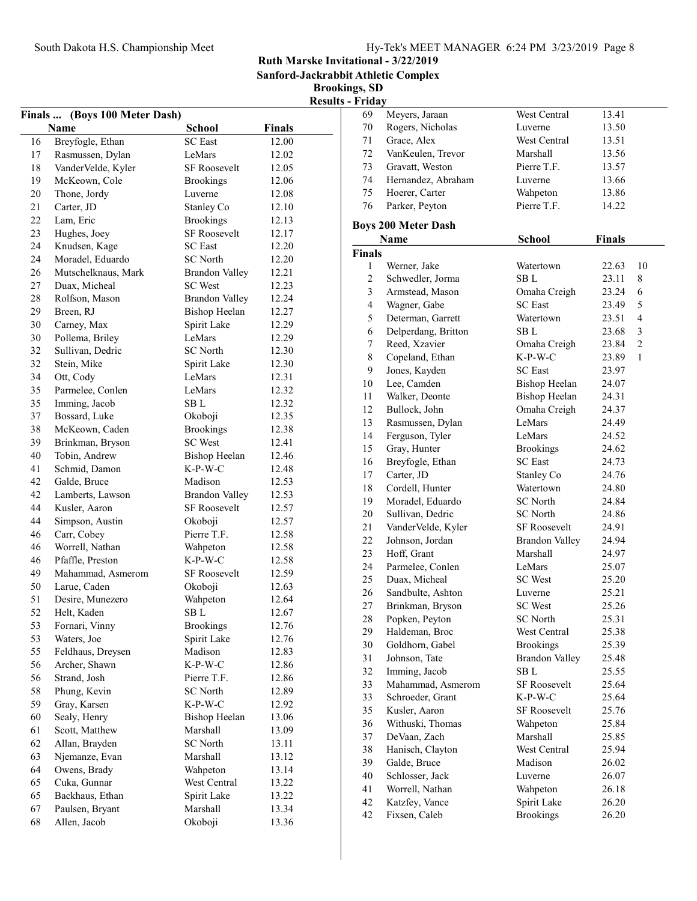Sanford-Jackrabbit Athletic Complex

Brookings, SD

# Results - Friday

|          | Finals  (Boys 100 Meter Dash)   |                           |               |
|----------|---------------------------------|---------------------------|---------------|
|          | Name                            | <b>School</b>             | <b>Finals</b> |
| 16       | Breyfogle, Ethan                | <b>SC</b> East            | 12.00         |
| 17       | Rasmussen, Dylan                | LeMars                    | 12.02         |
| 18       | VanderVelde, Kyler              | SF Roosevelt              | 12.05         |
| 19       | McKeown, Cole                   | <b>Brookings</b>          | 12.06         |
| 20       | Thone, Jordy                    | Luverne                   | 12.08         |
| 21       | Carter, JD                      | Stanley Co                | 12.10         |
| 22       | Lam, Eric                       | <b>Brookings</b>          | 12.13         |
| 23       | Hughes, Joey                    | <b>SF Roosevelt</b>       | 12.17         |
| 24       | Knudsen, Kage                   | <b>SC</b> East            | 12.20         |
| 24       | Moradel, Eduardo                | <b>SC</b> North           | 12.20         |
| 26       | Mutschelknaus, Mark             | <b>Brandon Valley</b>     | 12.21         |
| 27       | Duax, Micheal                   | <b>SC</b> West            | 12.23         |
| 28       | Rolfson, Mason                  | <b>Brandon Valley</b>     | 12.24         |
| 29       | Breen, RJ                       | <b>Bishop Heelan</b>      | 12.27         |
| 30       |                                 |                           |               |
|          | Carney, Max                     | Spirit Lake               | 12.29         |
| 30       | Pollema, Briley                 | LeMars<br><b>SC</b> North | 12.29         |
| 32       | Sullivan, Dedric                |                           | 12.30         |
| 32       | Stein, Mike                     | Spirit Lake               | 12.30         |
| 34       | Ott, Cody                       | LeMars                    | 12.31         |
| 35       | Parmelee, Conlen                | LeMars                    | 12.32         |
| 35       | Imming, Jacob                   | SB L                      | 12.32         |
| 37       | Bossard, Luke                   | Okoboji                   | 12.35         |
| 38       | McKeown, Caden                  | <b>Brookings</b>          | 12.38         |
| 39       | Brinkman, Bryson                | <b>SC</b> West            | 12.41         |
| 40       | Tobin, Andrew                   | <b>Bishop Heelan</b>      | 12.46         |
| 41       | Schmid, Damon                   | $K-P-W-C$                 | 12.48         |
| 42       | Galde, Bruce                    | Madison                   | 12.53         |
| 42       | Lamberts, Lawson                | <b>Brandon Valley</b>     | 12.53         |
| 44       | Kusler, Aaron                   | SF Roosevelt              | 12.57         |
| 44       | Simpson, Austin                 | Okoboji                   | 12.57         |
| 46       | Carr, Cobey                     | Pierre T.F.               | 12.58         |
| 46       | Worrell, Nathan                 | Wahpeton                  | 12.58         |
| 46       | Pfaffle, Preston                | $K-P-W-C$                 | 12.58         |
| 49       | Mahammad, Asmerom               | <b>SF Roosevelt</b>       | 12.59         |
| 50       | Larue, Caden                    | Okoboji                   | 12.63         |
| 51       | Desire, Munezero                | Wahpeton                  | 12.64         |
| 52       | Helt, Kaden                     | SB <sub>L</sub>           | 12.67         |
| 53       | Fornari, Vinny                  | <b>Brookings</b>          | 12.76         |
| 53       | Waters, Joe                     | Spirit Lake               | 12.76         |
| 55       | Feldhaus, Dreysen               | Madison                   | 12.83         |
| 56       | Archer, Shawn                   | $K-P-W-C$                 | 12.86         |
| 56       | Strand, Josh                    | Pierre T.F.               | 12.86         |
| 58       | Phung, Kevin                    | <b>SC</b> North           | 12.89         |
| 59       | Gray, Karsen                    | K-P-W-C                   | 12.92         |
| 60       | Sealy, Henry                    | <b>Bishop Heelan</b>      | 13.06         |
| 61       | Scott, Matthew                  | Marshall                  | 13.09         |
| 62       | Allan, Brayden                  | <b>SC</b> North           | 13.11         |
| 63       | Njemanze, Evan                  | Marshall                  | 13.12         |
| 64       | Owens, Brady                    | Wahpeton                  | 13.14         |
| 65       | Cuka, Gunnar                    | West Central              | 13.22         |
| 65       | Backhaus, Ethan                 | Spirit Lake               |               |
|          |                                 | Marshall                  | 13.22         |
| 67<br>68 | Paulsen, Bryant<br>Allen, Jacob |                           | 13.34         |
|          |                                 | Okoboji                   | 13.36         |

| .  |                    |              |       |  |
|----|--------------------|--------------|-------|--|
| 69 | Meyers, Jaraan     | West Central | 13.41 |  |
| 70 | Rogers, Nicholas   | Luverne      | 13.50 |  |
| 71 | Grace, Alex        | West Central | 13.51 |  |
| 72 | VanKeulen, Trevor  | Marshall     | 13.56 |  |
| 73 | Gravatt, Weston    | Pierre T.F.  | 13.57 |  |
| 74 | Hernandez, Abraham | Luverne      | 13.66 |  |
| 75 | Hoerer, Carter     | Wahpeton     | 13.86 |  |
| 76 | Parker, Peyton     | Pierre T.F.  | 14.22 |  |
|    |                    |              |       |  |

#### Boys 200 Meter Dash

|                | Name                | <b>School</b>         | <b>Finals</b> |                |
|----------------|---------------------|-----------------------|---------------|----------------|
| Finals         |                     |                       |               |                |
| 1              | Werner, Jake        | Watertown             | 22.63         | 10             |
| $\overline{c}$ | Schwedler, Jorma    | SB L                  | 23.11         | 8              |
| $\overline{3}$ | Armstead, Mason     | Omaha Creigh          | 23.24         | 6              |
| $\overline{4}$ | Wagner, Gabe        | <b>SC</b> East        | 23.49         | 5              |
| 5              | Determan, Garrett   | Watertown             | 23.51         | 4              |
| 6              | Delperdang, Britton | SB L                  | 23.68         | 3              |
| 7              | Reed, Xzavier       | Omaha Creigh          | 23.84         | $\overline{2}$ |
| 8              | Copeland, Ethan     | $K-P-W-C$             | 23.89         | $\mathbf{1}$   |
| 9              | Jones, Kayden       | <b>SC</b> East        | 23.97         |                |
| 10             | Lee, Camden         | <b>Bishop Heelan</b>  | 24.07         |                |
| 11             | Walker, Deonte      | <b>Bishop Heelan</b>  | 24.31         |                |
| 12             | Bullock, John       | Omaha Creigh          | 24.37         |                |
| 13             | Rasmussen, Dylan    | LeMars                | 24.49         |                |
| 14             | Ferguson, Tyler     | LeMars                | 24.52         |                |
| 15             | Gray, Hunter        | <b>Brookings</b>      | 24.62         |                |
| 16             | Breyfogle, Ethan    | <b>SC</b> East        | 24.73         |                |
| 17             | Carter, JD          | Stanley Co            | 24.76         |                |
| 18             | Cordell, Hunter     | Watertown             | 24.80         |                |
| 19             | Moradel, Eduardo    | <b>SC</b> North       | 24.84         |                |
| 20             | Sullivan, Dedric    | <b>SC</b> North       | 24.86         |                |
| 21             | VanderVelde, Kyler  | <b>SF Roosevelt</b>   | 24.91         |                |
| 22             | Johnson, Jordan     | Brandon Valley        | 24.94         |                |
| 23             | Hoff. Grant         | Marshall              | 24.97         |                |
| 24             | Parmelee, Conlen    | LeMars                | 25.07         |                |
| 25             | Duax, Micheal       | <b>SC</b> West        | 25.20         |                |
| 26             | Sandbulte, Ashton   | Luverne               | 25.21         |                |
| 27             | Brinkman, Bryson    | <b>SC</b> West        | 25.26         |                |
| 28             | Popken, Peyton      | <b>SC</b> North       | 25.31         |                |
| 29             | Haldeman, Broc      | West Central          | 25.38         |                |
| 30             | Goldhorn, Gabel     | <b>Brookings</b>      | 25.39         |                |
| 31             | Johnson, Tate       | <b>Brandon Valley</b> | 25.48         |                |
| 32             | Imming, Jacob       | SB L                  | 25.55         |                |
| 33             | Mahammad, Asmerom   | <b>SF Roosevelt</b>   | 25.64         |                |
| 33             | Schroeder, Grant    | $K-P-W-C$             | 25.64         |                |
| 35             | Kusler, Aaron       | <b>SF Roosevelt</b>   | 25.76         |                |
| 36             | Withuski, Thomas    | Wahpeton              | 25.84         |                |
| 37             | DeVaan, Zach        | Marshall              | 25.85         |                |
| 38             | Hanisch, Clayton    | West Central          | 25.94         |                |
| 39             | Galde, Bruce        | Madison               | 26.02         |                |
| 40             | Schlosser, Jack     | Luverne               | 26.07         |                |
| 41             | Worrell, Nathan     | Wahpeton              | 26.18         |                |
| 42             | Katzfey, Vance      | Spirit Lake           | 26.20         |                |
| 42             | Fixsen, Caleb       | <b>Brookings</b>      | 26.20         |                |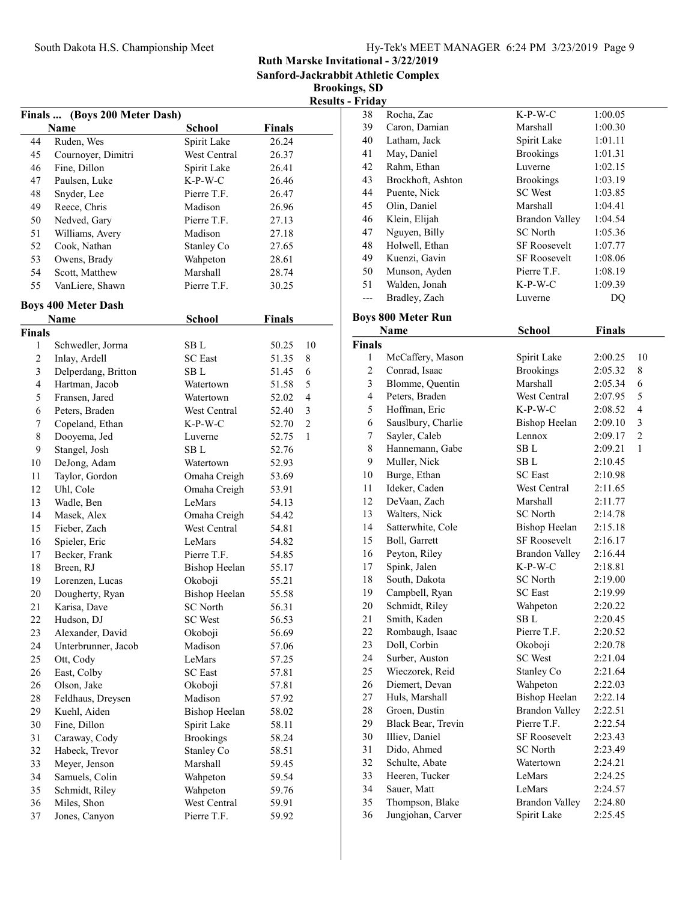| Hy-Tek's MEET MANAGER $6:24 \text{ PM } 3/23/2019$ Page 9 |  |  |  |
|-----------------------------------------------------------|--|--|--|
|-----------------------------------------------------------|--|--|--|

Sanford-Jackrabbit Athletic Complex

Brookings, SD  $s$  - Friday

|                |                            |                      |               | <b>Results</b>          |
|----------------|----------------------------|----------------------|---------------|-------------------------|
| Finals         | (Boys 200 Meter Dash)      |                      |               |                         |
|                | Name                       | <b>School</b>        | <b>Finals</b> |                         |
| 44             | Ruden, Wes                 | Spirit Lake          | 26.24         |                         |
| 45             | Cournoyer, Dimitri         | West Central         | 26.37         |                         |
| 46             | Fine, Dillon               | Spirit Lake          | 26.41         |                         |
| 47             | Paulsen, Luke              | $K-P-W-C$            | 26.46         |                         |
| 48             | Snyder, Lee                | Pierre T.F.          | 26.47         |                         |
| 49             | Reece, Chris               | Madison              | 26.96         |                         |
| 50             | Nedved, Gary               | Pierre T.F.          | 27.13         |                         |
| 51             | Williams, Avery            | Madison              | 27.18         |                         |
| 52             | Cook, Nathan               | Stanley Co           | 27.65         |                         |
| 53             | Owens, Brady               | Wahpeton             | 28.61         |                         |
| 54             | Scott, Matthew             | Marshall             | 28.74         |                         |
| 55             | VanLiere, Shawn            | Pierre T.F.          | 30.25         |                         |
|                | <b>Boys 400 Meter Dash</b> |                      |               |                         |
|                | Name                       | <b>School</b>        | <b>Finals</b> |                         |
| <b>Finals</b>  |                            |                      |               |                         |
| 1              | Schwedler, Jorma           | SB L                 | 50.25         | 10                      |
| 2              | Inlay, Ardell              | <b>SC</b> East       | 51.35         | 8                       |
| $\mathfrak{Z}$ | Delperdang, Britton        | SB L                 | 51.45         | 6                       |
| $\overline{4}$ | Hartman, Jacob             | Watertown            | 51.58         | 5                       |
| 5              | Fransen, Jared             | Watertown            | 52.02         | $\overline{\mathbf{4}}$ |
| 6              | Peters, Braden             | West Central         | 52.40         | 3                       |
| 7              | Copeland, Ethan            | $K-P-W-C$            | 52.70         | $\overline{2}$          |
| $\,$ $\,$      | Dooyema, Jed               | Luverne              | 52.75         | $\mathbf{1}$            |
| 9              | Stangel, Josh              | SB L                 | 52.76         |                         |
| 10             | DeJong, Adam               | Watertown            | 52.93         |                         |
| 11             | Taylor, Gordon             | Omaha Creigh         | 53.69         |                         |
| 12             | Uhl, Cole                  | Omaha Creigh         | 53.91         |                         |
| 13             | Wadle, Ben                 | LeMars               | 54.13         |                         |
| 14             | Masek, Alex                | Omaha Creigh         | 54.42         |                         |
| 15             | Fieber, Zach               | West Central         | 54.81         |                         |
| 16             | Spieler, Eric              | LeMars               | 54.82         |                         |
| 17             | Becker, Frank              | Pierre T.F.          | 54.85         |                         |
| 18             | Breen, RJ                  | <b>Bishop Heelan</b> | 55.17         |                         |
| 19             | Lorenzen, Lucas            | Okoboji              | 55.21         |                         |
| 20             | Dougherty, Ryan            | <b>Bishop Heelan</b> | 55.58         |                         |
| 21             | Karisa, Dave               | SC North             | 56.31         |                         |
| 22             | Hudson, DJ                 | SC West              | 56.53         |                         |
| 23             | Alexander, David           | Okoboji              | 56.69         |                         |
| 24             | Unterbrunner, Jacob        | Madison              | 57.06         |                         |
| 25             | Ott, Cody                  | LeMars               | 57.25         |                         |
| 26             | East, Colby                | <b>SC</b> East       | 57.81         |                         |
| 26             | Olson, Jake                | Okoboji              | 57.81         |                         |
| 28             | Feldhaus, Dreysen          | Madison              | 57.92         |                         |
| 29             | Kuehl, Aiden               | <b>Bishop Heelan</b> | 58.02         |                         |
| 30             | Fine, Dillon               | Spirit Lake          | 58.11         |                         |
| 31             | Caraway, Cody              | <b>Brookings</b>     | 58.24         |                         |
| 32             | Habeck, Trevor             | Stanley Co           | 58.51         |                         |
| 33             | Meyer, Jenson              | Marshall             | 59.45         |                         |
| 34             | Samuels, Colin             | Wahpeton             | 59.54         |                         |
| 35             | Schmidt, Riley             | Wahpeton             | 59.76         |                         |
| 36             | Miles, Shon                | West Central         | 59.91         |                         |
| 37             | Jones, Canyon              | Pierre T.F.          | 59.92         |                         |
|                |                            |                      |               |                         |

| 38                 | Rocha, Zac                | K-P-W-C               | 1:00.05       |                                  |
|--------------------|---------------------------|-----------------------|---------------|----------------------------------|
| 39                 | Caron, Damian             | Marshall              | 1:00.30       |                                  |
| 40                 | Latham, Jack              | Spirit Lake           | 1:01.11       |                                  |
| 41                 | May, Daniel               | <b>Brookings</b>      | 1:01.31       |                                  |
| 42                 | Rahm, Ethan               | Luverne               | 1:02.15       |                                  |
| 43                 | Brockhoft, Ashton         | <b>Brookings</b>      | 1:03.19       |                                  |
| 44                 | Puente, Nick              | <b>SC</b> West        | 1:03.85       |                                  |
| 45                 | Olin, Daniel              | Marshall              | 1:04.41       |                                  |
| 46                 | Klein, Elijah             | <b>Brandon Valley</b> | 1:04.54       |                                  |
| 47                 | Nguyen, Billy             | <b>SC</b> North       | 1:05.36       |                                  |
| 48                 | Holwell, Ethan            | <b>SF Roosevelt</b>   | 1:07.77       |                                  |
| 49                 | Kuenzi, Gavin             | <b>SF Roosevelt</b>   | 1:08.06       |                                  |
| 50                 | Munson, Ayden             | Pierre T.F.           | 1:08.19       |                                  |
| 51                 | Walden, Jonah             | $K-P-W-C$             | 1:09.39       |                                  |
| $---$              | Bradley, Zach             | Luverne               | DQ            |                                  |
|                    |                           |                       |               |                                  |
|                    | <b>Boys 800 Meter Run</b> |                       |               |                                  |
|                    | Name                      | <b>School</b>         | <b>Finals</b> |                                  |
| <b>Finals</b><br>1 |                           | Spirit Lake           |               | 10                               |
| $\overline{c}$     | McCaffery, Mason          | <b>Brookings</b>      | 2:00.25       |                                  |
|                    | Conrad, Isaac             | Marshall              | 2:05.32       | 8                                |
| 3                  | Blomme, Quentin           |                       | 2:05.34       | 6                                |
| 4                  | Peters, Braden            | West Central          | 2:07.95       | 5                                |
| 5                  | Hoffman, Eric             | $K-P-W-C$             | 2:08.52       | $\overline{\mathbf{4}}$          |
| 6                  | Sauslbury, Charlie        | <b>Bishop Heelan</b>  | 2:09.10       | $\mathfrak{Z}$<br>$\overline{c}$ |
| 7                  | Sayler, Caleb             | Lennox                | 2:09.17       |                                  |
| $\,$ $\,$          | Hannemann, Gabe           | SB L                  | 2:09.21       | 1                                |
| 9                  | Muller, Nick              | SB L                  | 2:10.45       |                                  |
| 10                 | Burge, Ethan              | <b>SC</b> East        | 2:10.98       |                                  |
| 11                 | Ideker, Caden             | West Central          | 2:11.65       |                                  |
| 12                 | DeVaan, Zach              | Marshall              | 2:11.77       |                                  |
| 13                 | Walters, Nick             | <b>SC</b> North       | 2:14.78       |                                  |
| 14                 | Satterwhite, Cole         | <b>Bishop Heelan</b>  | 2:15.18       |                                  |
| 15                 | Boll, Garrett             | <b>SF Roosevelt</b>   | 2:16.17       |                                  |
| 16                 | Peyton, Riley             | <b>Brandon Valley</b> | 2:16.44       |                                  |
| 17                 | Spink, Jalen              | $K-P-W-C$             | 2:18.81       |                                  |
| 18                 | South, Dakota             | <b>SC</b> North       | 2:19.00       |                                  |
| 19                 | Campbell, Ryan            | <b>SC</b> East        | 2:19.99       |                                  |
| 20                 | Schmidt, Riley            | Wahpeton              | 2:20.22       |                                  |
| 21                 | Smith, Kaden              | SB L                  | 2:20.45       |                                  |
| 22                 | Rombaugh, Isaac           | Pierre T.F.           | 2:20.52       |                                  |
| 23                 | Doll, Corbin              | Okoboji               | 2:20.78       |                                  |
| 24                 | Surber, Auston            | <b>SC</b> West        | 2:21.04       |                                  |
| 25                 | Wieczorek, Reid           | Stanley Co            | 2:21.64       |                                  |
| 26                 | Diemert, Devan            | Wahpeton              | 2:22.03       |                                  |
| 27                 | Huls, Marshall            | <b>Bishop Heelan</b>  | 2:22.14       |                                  |
| 28                 | Groen, Dustin             | <b>Brandon Valley</b> | 2:22.51       |                                  |
| 29                 | Black Bear, Trevin        | Pierre T.F.           | 2:22.54       |                                  |
| 30                 | Illiev, Daniel            | <b>SF Roosevelt</b>   | 2:23.43       |                                  |
| 31                 | Dido, Ahmed               | <b>SC</b> North       | 2:23.49       |                                  |
| 32                 | Schulte, Abate            | Watertown             | 2:24.21       |                                  |
| 33                 | Heeren, Tucker            | LeMars                | 2:24.25       |                                  |
| 34                 | Sauer, Matt               | LeMars                | 2:24.57       |                                  |
| 35                 | Thompson, Blake           | <b>Brandon Valley</b> | 2:24.80       |                                  |
| 36                 | Jungjohan, Carver         | Spirit Lake           | 2:25.45       |                                  |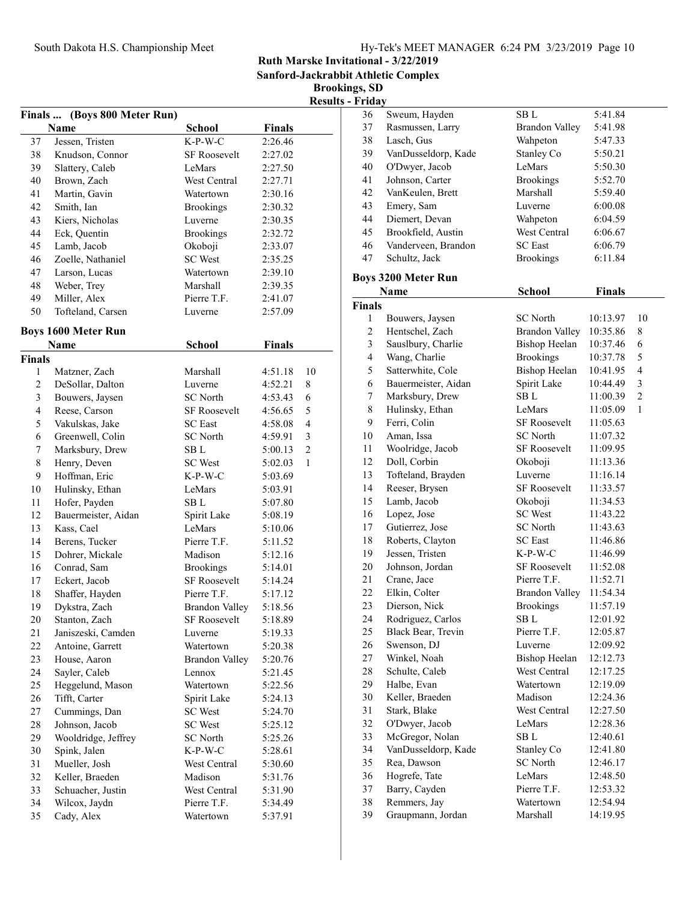Sanford-Jackrabbit Athletic Complex

|                |                              |                       |               |                | <b>Results - Friday</b> |
|----------------|------------------------------|-----------------------|---------------|----------------|-------------------------|
|                | Finals  (Boys 800 Meter Run) |                       |               |                | 36                      |
|                | Name                         | <b>School</b>         | <b>Finals</b> |                | 37                      |
| 37             | Jessen, Tristen              | $K-P-W-C$             | 2:26.46       |                | 38                      |
| 38             | Knudson, Connor              | SF Roosevelt          | 2:27.02       |                | 39                      |
| 39             | Slattery, Caleb              | LeMars                | 2:27.50       |                | 40                      |
| 40             | Brown, Zach                  | West Central          | 2:27.71       |                | 41                      |
| 41             | Martin, Gavin                | Watertown             | 2:30.16       |                | 42                      |
| 42             | Smith, Ian                   | <b>Brookings</b>      | 2:30.32       |                | 43<br>l                 |
| 43             | Kiers, Nicholas              | Luverne               | 2:30.35       |                | 44<br>l                 |
| 44             | Eck, Quentin                 | <b>Brookings</b>      | 2:32.72       |                | 45<br>l                 |
| 45             | Lamb, Jacob                  | Okoboji               | 2:33.07       |                | 46                      |
| 46             | Zoelle, Nathaniel            | <b>SC</b> West        | 2:35.25       |                | 47                      |
| 47             | Larson, Lucas                | Watertown             | 2:39.10       |                | <b>Boys 32</b>          |
| 48             | Weber, Trey                  | Marshall              | 2:39.35       |                | N                       |
| 49             | Miller, Alex                 | Pierre T.F.           | 2:41.07       |                | <b>Finals</b>           |
| 50             | Tofteland, Carsen            | Luverne               | 2:57.09       |                | $\mathbf{1}$            |
|                | <b>Boys 1600 Meter Run</b>   |                       |               |                | $\overline{c}$          |
|                | Name                         | <b>School</b>         | <b>Finals</b> |                | 3                       |
| Finals         |                              |                       |               |                | $\overline{\mathbf{4}}$ |
| 1              | Matzner, Zach                | Marshall              | 4:51.18       | 10             | 5                       |
| $\overline{c}$ | DeSollar, Dalton             | Luverne               | 4:52.21       | 8              | 6<br>J                  |
| 3              | Bouwers, Jaysen              | <b>SC</b> North       | 4:53.43       | 6              | 7<br>I                  |
| $\overline{4}$ | Reese, Carson                | SF Roosevelt          | 4:56.65       | 5              | 8<br>l                  |
| 5              | Vakulskas, Jake              | <b>SC</b> East        | 4:58.08       | 4              | 9                       |
| 6              | Greenwell, Colin             | <b>SC</b> North       | 4:59.91       | 3              | 10                      |
| 7              | Marksbury, Drew              | SB <sub>L</sub>       | 5:00.13       | $\overline{c}$ | 11                      |
| 8              | Henry, Deven                 | <b>SC</b> West        | 5:02.03       | 1              | 12                      |
| 9              | Hoffman, Eric                | $K-P-W-C$             | 5:03.69       |                | 13                      |
| 10             | Hulinsky, Ethan              | LeMars                | 5:03.91       |                | 14<br>I                 |
| 11             | Hofer, Payden                | SB L                  | 5:07.80       |                | 15                      |
| 12             | Bauermeister, Aidan          | Spirit Lake           | 5:08.19       |                | 16                      |
| 13             | Kass, Cael                   | LeMars                | 5:10.06       |                | 17                      |
| 14             | Berens, Tucker               | Pierre T.F.           | 5:11.52       |                | 18                      |
| 15             | Dohrer, Mickale              | Madison               | 5:12.16       |                | 19                      |
| 16             | Conrad, Sam                  | <b>Brookings</b>      | 5:14.01       |                | 20                      |
| 17             | Eckert, Jacob                | <b>SF Roosevelt</b>   | 5:14.24       |                | 21                      |
| 18             | Shaffer, Hayden              | Pierre T.F.           | 5:17.12       |                | 22                      |
| 19             | Dykstra, Zach                | <b>Brandon Valley</b> | 5:18.56       |                | 23                      |
| 20             | Stanton, Zach                | <b>SF Roosevelt</b>   | 5:18.89       |                | 24                      |
| 21             | Janiszeski, Camden           | Luverne               | 5:19.33       |                | 25                      |
| 22             | Antoine, Garrett             | Watertown             | 5:20.38       |                | 26                      |
| 23             | House, Aaron                 | <b>Brandon Valley</b> | 5:20.76       |                | 27                      |
| 24             | Sayler, Caleb                | Lennox                | 5:21.45       |                | 28                      |
| 25             | Heggelund, Mason             | Watertown             | 5:22.56       |                | 29                      |
| 26             | Tifft, Carter                | Spirit Lake           | 5:24.13       |                | 30                      |
| 27             | Cummings, Dan                | <b>SC</b> West        | 5:24.70       |                | 31                      |
| 28             | Johnson, Jacob               | <b>SC</b> West        | 5:25.12       |                | 32                      |
| 29             | Wooldridge, Jeffrey          | <b>SC</b> North       | 5:25.26       |                | 33                      |
| 30             | Spink, Jalen                 | $K-P-W-C$             | 5:28.61       |                | 34                      |
| 31             | Mueller, Josh                | West Central          | 5:30.60       |                | 35                      |
| 32             | Keller, Braeden              | Madison               | 5:31.76       |                | 36                      |
| 33             | Schuacher, Justin            | West Central          | 5:31.90       |                | 37                      |
| 34             | Wilcox, Jaydn                | Pierre T.F.           | 5:34.49       |                | 38                      |
| 35             | Cady, Alex                   | Watertown             | 5:37.91       |                | 39                      |
|                |                              |                       |               |                |                         |

| r i iua v     |                            |                       |               |                |
|---------------|----------------------------|-----------------------|---------------|----------------|
| 36            | Sweum, Hayden              | SB L                  | 5:41.84       |                |
| 37            | Rasmussen, Larry           | <b>Brandon Valley</b> | 5:41.98       |                |
| 38            | Lasch, Gus                 | Wahpeton              | 5:47.33       |                |
| 39            | VanDusseldorp, Kade        | Stanley Co            | 5:50.21       |                |
| 40            | O'Dwyer, Jacob             | LeMars                | 5:50.30       |                |
| 41            | Johnson, Carter            | <b>Brookings</b>      | 5:52.70       |                |
| 42            | VanKeulen, Brett           | Marshall              | 5:59.40       |                |
| 43            | Emery, Sam                 | Luverne               | 6:00.08       |                |
| 44            | Diemert, Devan             | Wahpeton              | 6:04.59       |                |
| 45            | Brookfield, Austin         | West Central          | 6:06.67       |                |
| 46            | Vanderveen, Brandon        | <b>SC</b> East        | 6:06.79       |                |
| 47            | Schultz, Jack              | <b>Brookings</b>      | 6:11.84       |                |
|               |                            |                       |               |                |
|               | <b>Boys 3200 Meter Run</b> |                       |               |                |
|               | Name                       | School                | <b>Finals</b> |                |
| <b>Finals</b> |                            |                       |               |                |
| 1             | Bouwers, Jaysen            | <b>SC</b> North       | 10:13.97      | 10             |
| 2             | Hentschel, Zach            | <b>Brandon Valley</b> | 10:35.86      | 8              |
| 3             | Sauslbury, Charlie         | Bishop Heelan         | 10:37.46      | 6              |
| 4             | Wang, Charlie              | <b>Brookings</b>      | 10:37.78      | 5              |
| 5             | Satterwhite, Cole          | <b>Bishop Heelan</b>  | 10:41.95      | 4              |
| 6             | Bauermeister, Aidan        | Spirit Lake           | 10:44.49      | 3              |
| 7             | Marksbury, Drew            | SB L                  | 11:00.39      | $\overline{c}$ |
| 8             | Hulinsky, Ethan            | LeMars                | 11:05.09      | 1              |
| 9             | Ferri, Colin               | <b>SF Roosevelt</b>   | 11:05.63      |                |
| 10            | Aman, Issa                 | <b>SC</b> North       | 11:07.32      |                |
| 11            | Woolridge, Jacob           | <b>SF Roosevelt</b>   | 11:09.95      |                |
| 12            | Doll, Corbin               | Okoboji               | 11:13.36      |                |
| 13            | Tofteland, Brayden         | Luverne               | 11:16.14      |                |
| 14            | Reeser, Brysen             | <b>SF Roosevelt</b>   | 11:33.57      |                |
| 15            | Lamb, Jacob                | Okoboji               | 11:34.53      |                |
| 16            | Lopez, Jose                | <b>SC</b> West        | 11:43.22      |                |
| 17            | Gutierrez, Jose            | <b>SC</b> North       | 11:43.63      |                |
| 18            | Roberts, Clayton           | <b>SC</b> East        | 11:46.86      |                |
| 19            | Jessen, Tristen            | K-P-W-C               | 11:46.99      |                |
| 20            | Johnson, Jordan            | <b>SF Roosevelt</b>   | 11:52.08      |                |
| 21            | Crane, Jace                | Pierre T.F.           | 11:52.71      |                |
| 22            | Elkin, Colter              | <b>Brandon Valley</b> | 11:54.34      |                |
| 23            | Dierson, Nick              | <b>Brookings</b>      | 11:57.19      |                |
| 24            | Rodriguez, Carlos          | SB L                  | 12:01.92      |                |
| 25            | Black Bear, Trevin         | Pierre T.F.           | 12:05.87      |                |
| 26            | Swenson, DJ                | Luverne               | 12:09.92      |                |
| 27            | Winkel, Noah               | <b>Bishop Heelan</b>  | 12:12.73      |                |
| 28            | Schulte, Caleb             | West Central          | 12:17.25      |                |
| 29            |                            | Watertown             | 12:19.09      |                |
|               | Halbe, Evan                |                       |               |                |
| 30            | Keller, Braeden            | Madison               | 12:24.36      |                |
| 31            | Stark, Blake               | West Central          | 12:27.50      |                |
| 32            | O'Dwyer, Jacob             | LeMars                | 12:28.36      |                |
| 33            | McGregor, Nolan            | SB L                  | 12:40.61      |                |
| 34            | VanDusseldorp, Kade        | Stanley Co            | 12:41.80      |                |
| 35            | Rea, Dawson                | <b>SC</b> North       | 12:46.17      |                |
| 36            | Hogrefe, Tate              | LeMars                | 12:48.50      |                |
| 37            | Barry, Cayden              | Pierre T.F.           | 12:53.32      |                |
| 38            | Remmers, Jay               | Watertown             | 12:54.94      |                |
| 39            | Graupmann, Jordan          | Marshall              | 14:19.95      |                |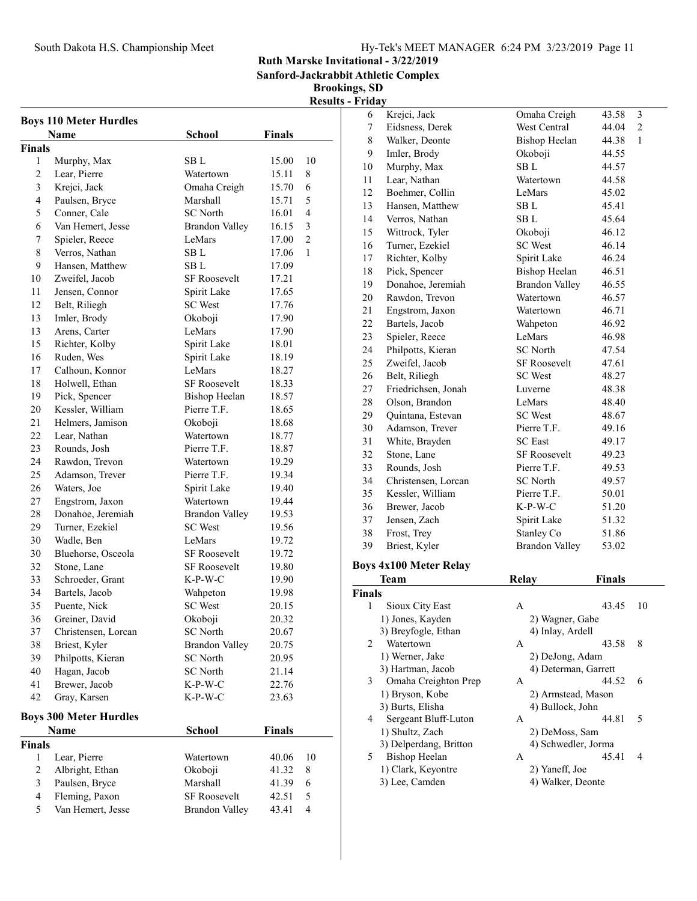South Dakota H.S. Championship Meet

| Hy-Tek's MEET MANAGER 6:24 PM 3/23/2019 Page 11 |  |  |
|-------------------------------------------------|--|--|
|                                                 |  |  |

Ruth Marske Invitational - 3/22/2019

Sanford-Jackrabbit Athletic Complex

|                |                               |                       |               |             | <b>Results - Friday</b> |
|----------------|-------------------------------|-----------------------|---------------|-------------|-------------------------|
|                | <b>Boys 110 Meter Hurdles</b> |                       |               |             | 6                       |
|                | Name                          | <b>School</b>         | <b>Finals</b> |             | 7                       |
| Finals         |                               |                       |               |             | $\,8\,$                 |
| 1              | Murphy, Max                   | SB L                  | 15.00         | 10          | 9                       |
| $\overline{c}$ | Lear, Pierre                  | Watertown             | 15.11         | $\,$ 8 $\,$ | 10<br>I                 |
| 3              | Krejci, Jack                  | Omaha Creigh          | 15.70         | 6           | 11<br>I                 |
| $\overline{4}$ | Paulsen, Bryce                | Marshall              | 15.71         | 5           | 12<br>l                 |
| 5              | Conner, Cale                  | <b>SC</b> North       | 16.01         | 4           | 13<br>l                 |
| 6              | Van Hemert, Jesse             | <b>Brandon Valley</b> | 16.15         | 3           | 14                      |
| 7              | Spieler, Reece                | LeMars                | 17.00         | 2           | 15                      |
| 8              | Verros, Nathan                | SB L                  | 17.06         | 1           | ĵ<br>16                 |
| 9              | Hansen, Matthew               | SB L                  | 17.09         |             | 17<br>I                 |
| 10             | Zweifel, Jacob                | <b>SF Roosevelt</b>   | 17.21         |             | 18<br>I                 |
| 11             | Jensen, Connor                | Spirit Lake           | 17.65         |             | 19<br>l                 |
| 12             | Belt, Riliegh                 | <b>SC</b> West        | 17.76         |             | 20                      |
| 13             | Imler, Brody                  | Okoboji               | 17.90         |             | 21                      |
| 13             | Arens, Carter                 | LeMars                | 17.90         |             | 22                      |
| 15             | Richter, Kolby                | Spirit Lake           | 18.01         |             | 23                      |
| 16             | Ruden, Wes                    | Spirit Lake           | 18.19         |             | 24<br>l                 |
| 17             | Calhoun, Konnor               | LeMars                | 18.27         |             | 25                      |
| 18             | Holwell, Ethan                | <b>SF Roosevelt</b>   | 18.33         |             | 26<br>l                 |
| 19             | Pick, Spencer                 | <b>Bishop Heelan</b>  | 18.57         |             | 27<br>l                 |
| 20             | Kessler, William              | Pierre T.F.           | 18.65         |             | 28                      |
| 21             | Helmers, Jamison              | Okoboji               | 18.68         |             | 29                      |
| 22             | Lear, Nathan                  | Watertown             | 18.77         |             | 30                      |
| 23             | Rounds, Josh                  | Pierre T.F.           | 18.87         |             | 31                      |
| 24             | Rawdon, Trevon                | Watertown             | 19.29         |             | 32                      |
| 25             | Adamson, Trever               | Pierre T.F.           | 19.34         |             | 33<br>l                 |
| 26             | Waters, Joe                   | Spirit Lake           | 19.40         |             | 34                      |
| 27             | Engstrom, Jaxon               | Watertown             | 19.44         |             | 35<br>l                 |
| 28             | Donahoe, Jeremiah             | <b>Brandon Valley</b> | 19.53         |             | 36<br>l                 |
| 29             | Turner, Ezekiel               | <b>SC</b> West        | 19.56         |             | 37                      |
| 30             | Wadle, Ben                    | LeMars                | 19.72         |             | 38                      |
| 30             | Bluehorse, Osceola            | <b>SF Roosevelt</b>   | 19.72         |             | 39<br>l                 |
| 32             | Stone, Lane                   | SF Roosevelt          | 19.80         |             | <b>Boys 4x</b>          |
| 33             | Schroeder, Grant              | $K-P-W-C$             | 19.90         |             | T                       |
| 34             | Bartels, Jacob                | Wahpeton              | 19.98         |             | <b>Finals</b>           |
| 35             | Puente, Nick                  | SC West               | 20.15         |             | $\overline{1}$          |
| 36             | Greiner, David                | Okoboji               | 20.32         |             | 1)                      |
| 37             | Christensen, Lorcan           | <b>SC</b> North       | 20.67         |             | 3)                      |
| 38             | Briest, Kyler                 | <b>Brandon Valley</b> | 20.75         |             | $\overline{c}$          |
| 39             | Philpotts, Kieran             | <b>SC</b> North       | 20.95         |             | 1)                      |
| 40             | Hagan, Jacob                  | <b>SC</b> North       | 21.14         |             | 3)                      |
| 41             | Brewer, Jacob                 | $K-P-W-C$             | 22.76         |             | 3                       |
| 42             | Gray, Karsen                  | $K-P-W-C$             | 23.63         |             | 1)                      |
|                |                               |                       |               |             | 3)                      |
|                | <b>Boys 300 Meter Hurdles</b> |                       |               |             | $\overline{4}$          |
|                | Name                          | <b>School</b>         | <b>Finals</b> |             | 1)                      |
| Finals         |                               |                       |               |             | 3)                      |
| 1              | Lear, Pierre                  | Watertown             | 40.06         | 10          | 5<br><b>I</b>           |
| $\overline{c}$ | Albright, Ethan               | Okoboji               | 41.32         | 8           | 1)                      |
| 3              | Paulsen, Bryce                | Marshall              | 41.39         | 6           | 3)                      |
| $\overline{4}$ | Fleming, Paxon                | SF Roosevelt          | 42.51         | 5           |                         |
| 5              | Van Hemert, Jesse             | <b>Brandon Valley</b> | 43.41         | 4           |                         |

| 6             | Krejci, Jack                  | Omaha Creigh          | 43.58         | 3              |
|---------------|-------------------------------|-----------------------|---------------|----------------|
| 7             | Eidsness, Derek               | West Central          | 44.04         | $\overline{c}$ |
| 8             | Walker, Deonte                | Bishop Heelan         | 44.38         | $\mathbf{1}$   |
| 9             | Imler, Brody                  | Okoboji               | 44.55         |                |
| 10            | Murphy, Max                   | SB <sub>L</sub>       | 44.57         |                |
| 11            | Lear, Nathan                  | Watertown             | 44.58         |                |
| 12            | Boehmer, Collin               | LeMars                | 45.02         |                |
| 13            | Hansen, Matthew               | SB L                  | 45.41         |                |
| 14            | Verros, Nathan                | SB L                  | 45.64         |                |
| 15            | Wittrock, Tyler               | Okoboji               | 46.12         |                |
| 16            | Turner, Ezekiel               | <b>SC</b> West        | 46.14         |                |
| 17            | Richter, Kolby                | Spirit Lake           | 46.24         |                |
| 18            | Pick, Spencer                 | <b>Bishop Heelan</b>  | 46.51         |                |
| 19            | Donahoe, Jeremiah             | <b>Brandon Valley</b> | 46.55         |                |
| 20            | Rawdon, Trevon                | Watertown             | 46.57         |                |
| 21            |                               | Watertown             | 46.71         |                |
|               | Engstrom, Jaxon               |                       |               |                |
| 22            | Bartels, Jacob                | Wahpeton              | 46.92         |                |
| 23            | Spieler, Reece                | LeMars                | 46.98         |                |
| 24            | Philpotts, Kieran             | <b>SC</b> North       | 47.54         |                |
| 25            | Zweifel, Jacob                | <b>SF Roosevelt</b>   | 47.61         |                |
| 26            | Belt, Riliegh                 | <b>SC</b> West        | 48.27         |                |
| 27            | Friedrichsen, Jonah           | Luverne               | 48.38         |                |
| 28            | Olson, Brandon                | LeMars                | 48.40         |                |
| 29            | Quintana, Estevan             | <b>SC</b> West        | 48.67         |                |
| 30            | Adamson, Trever               | Pierre T.F.           | 49.16         |                |
| 31            | White, Brayden                | <b>SC</b> East        | 49.17         |                |
| 32            | Stone, Lane                   | <b>SF Roosevelt</b>   | 49.23         |                |
| 33            | Rounds, Josh                  | Pierre T.F.           | 49.53         |                |
| 34            | Christensen, Lorcan           | SC North              | 49.57         |                |
| 35            | Kessler, William              | Pierre T.F.           | 50.01         |                |
| 36            | Brewer, Jacob                 | $K-P-W-C$             | 51.20         |                |
| 37            | Jensen, Zach                  | Spirit Lake           | 51.32         |                |
| 38            | Frost, Trey                   | Stanley Co            | 51.86         |                |
| 39            | Briest, Kyler                 | <b>Brandon Valley</b> | 53.02         |                |
|               | <b>Boys 4x100 Meter Relay</b> |                       |               |                |
|               | <b>Team</b>                   | <b>Relay</b>          | <b>Finals</b> |                |
| <b>Finals</b> |                               |                       |               |                |
| 1             | Sioux City East               | Α                     | 43.45         | 10             |
|               | 1) Jones, Kayden              | 2) Wagner, Gabe       |               |                |
|               | 3) Breyfogle, Ethan           | 4) Inlay, Ardell      |               |                |
| 2             | Watertown                     | А                     | 43.58         | 8              |
|               | 1) Werner, Jake               | 2) DeJong, Adam       |               |                |
|               | 3) Hartman, Jacob             | 4) Determan, Garrett  |               |                |
| 3             | Omaha Creighton Prep          | A                     | 44.52         | 6              |
|               | 1) Bryson, Kobe               | 2) Armstead, Mason    |               |                |
|               | 3) Burts, Elisha              | 4) Bullock, John      |               |                |
| 4             | Sergeant Bluff-Luton          | A                     | 44.81         | 5              |
|               | 1) Shultz, Zach               | 2) DeMoss, Sam        |               |                |
|               | 3) Delperdang, Britton        | 4) Schwedler, Jorma   |               |                |
| 5.            | <b>Bishop Heelan</b>          | А                     | 45.41         | 4              |
|               | 1) Clark, Keyontre            | 2) Yaneff, Joe        |               |                |
|               | 3) Lee, Camden                | 4) Walker, Deonte     |               |                |
|               |                               |                       |               |                |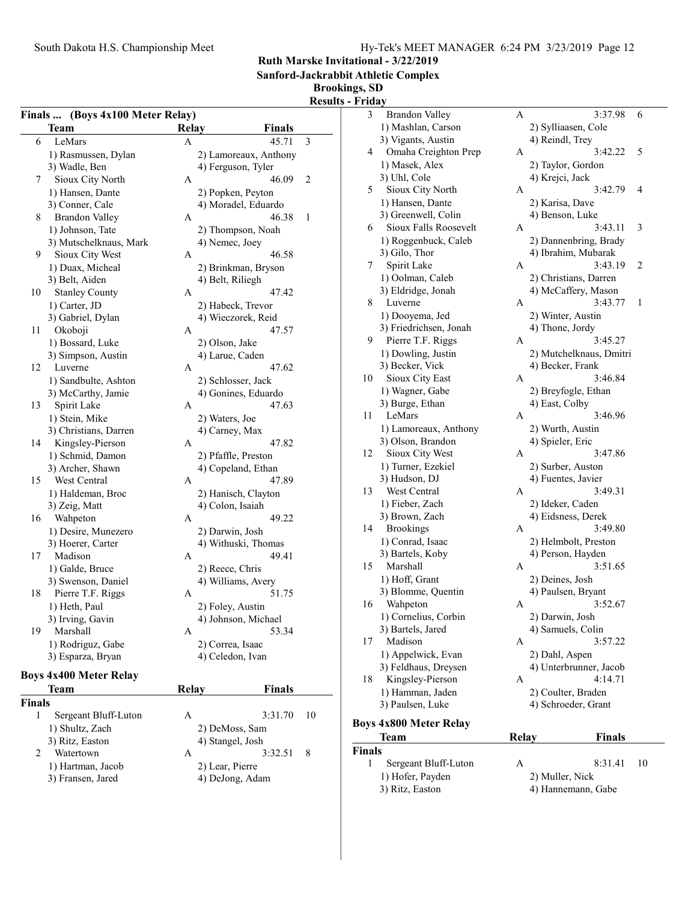Sanford-Jackrabbit Athletic Complex

## Brookings, SD

Results - Friday

| Finals  (Boys 4x100 Meter Relay) |                               |              |                                   |    |  |
|----------------------------------|-------------------------------|--------------|-----------------------------------|----|--|
|                                  | Team                          | Relay        | <b>Finals</b>                     |    |  |
| 6                                | LeMars                        | A            | 45.71                             | 3  |  |
|                                  | 1) Rasmussen, Dylan           |              | 2) Lamoreaux, Anthony             |    |  |
|                                  | 3) Wadle, Ben                 |              | 4) Ferguson, Tyler                |    |  |
| 7                                | Sioux City North              | A            | 46.09                             | 2  |  |
|                                  | 1) Hansen, Dante              |              | 2) Popken, Peyton                 |    |  |
|                                  | 3) Conner, Cale               |              | 4) Moradel, Eduardo               |    |  |
| 8                                | <b>Brandon Valley</b>         | А            | 46.38                             | 1  |  |
|                                  | 1) Johnson, Tate              |              | 2) Thompson, Noah                 |    |  |
|                                  | 3) Mutschelknaus, Mark        |              | 4) Nemec, Joey                    |    |  |
| 9                                | Sioux City West               | A            | 46.58                             |    |  |
|                                  | 1) Duax, Micheal              |              | 2) Brinkman, Bryson               |    |  |
|                                  | 3) Belt, Aiden                |              | 4) Belt, Riliegh                  |    |  |
| 10                               | <b>Stanley County</b>         | A            | 47.42                             |    |  |
|                                  | 1) Carter, JD                 |              | 2) Habeck, Trevor                 |    |  |
|                                  | 3) Gabriel, Dylan             |              | 4) Wieczorek, Reid                |    |  |
| 11                               | Okoboji                       | А            | 47.57                             |    |  |
|                                  | 1) Bossard, Luke              |              |                                   |    |  |
|                                  | 3) Simpson, Austin            |              | 2) Olson, Jake<br>4) Larue, Caden |    |  |
| 12                               | Luverne                       | А            | 47.62                             |    |  |
|                                  |                               |              |                                   |    |  |
|                                  | 1) Sandbulte, Ashton          |              | 2) Schlosser, Jack                |    |  |
|                                  | 3) McCarthy, Jamie            |              | 4) Gonines, Eduardo<br>47.63      |    |  |
| 13                               | Spirit Lake                   | A            |                                   |    |  |
|                                  | 1) Stein, Mike                |              | 2) Waters, Joe                    |    |  |
|                                  | 3) Christians, Darren         |              | 4) Carney, Max                    |    |  |
| 14                               | Kingsley-Pierson              | A            | 47.82                             |    |  |
|                                  | 1) Schmid, Damon              |              | 2) Pfaffle, Preston               |    |  |
|                                  | 3) Archer, Shawn              |              | 4) Copeland, Ethan                |    |  |
| 15                               | West Central                  | A            | 47.89                             |    |  |
|                                  | 1) Haldeman, Broc             |              | 2) Hanisch, Clayton               |    |  |
|                                  | 3) Zeig, Matt                 |              | 4) Colon, Isaiah                  |    |  |
| 16                               | Wahpeton                      | А            | 49.22                             |    |  |
|                                  | 1) Desire, Munezero           |              | 2) Darwin, Josh                   |    |  |
|                                  | 3) Hoerer, Carter             |              | 4) Withuski, Thomas               |    |  |
| 17                               | Madison                       | A            | 49.41                             |    |  |
|                                  | 1) Galde, Bruce               |              | 2) Reece, Chris                   |    |  |
|                                  | 3) Swenson, Daniel            |              | 4) Williams, Avery                |    |  |
| 18                               | Pierre T.F. Riggs             | А            | 51.75                             |    |  |
|                                  | 1) Heth, Paul                 |              | 2) Foley, Austin                  |    |  |
|                                  | 3) Irving, Gavin              |              | 4) Johnson, Michael               |    |  |
| 19                               | Marshall                      | A            | 53.34                             |    |  |
|                                  | 1) Rodriguz, Gabe             |              | 2) Correa, Isaac                  |    |  |
|                                  | 3) Esparza, Bryan             |              | 4) Celedon, Ivan                  |    |  |
|                                  | <b>Boys 4x400 Meter Relay</b> |              |                                   |    |  |
|                                  | Team                          | <b>Relay</b> | <b>Finals</b>                     |    |  |
| <b>Finals</b>                    |                               |              |                                   |    |  |
| 1                                | Sergeant Bluff-Luton          | А            | 3:31.70                           | 10 |  |
|                                  | 1) Shultz, Zach               |              | 2) DeMoss, Sam                    |    |  |
|                                  | 3) Ritz, Easton               |              | 4) Stangel, Josh                  |    |  |
| 2                                | Watertown                     | A            | 3:32.51                           | 8  |  |
|                                  | 1) Hartman, Jacob             |              | 2) Lear, Pierre                   |    |  |
|                                  | 3) Fransen, Jared             |              | 4) DeJong, Adam                   |    |  |
|                                  |                               |              |                                   |    |  |

| $, 1.1$ and $, 0.0000$ | $-7$ $-0$ $-1$ , $-1$ |
|------------------------|-----------------------|
| ) Fransen, Jared       | 4) DeJong, Adam       |

|         | <b>Team</b>                                | Relay | Finals                                   |   |
|---------|--------------------------------------------|-------|------------------------------------------|---|
|         | <b>Boys 4x800 Meter Relay</b>              |       |                                          |   |
|         |                                            |       |                                          |   |
|         | 3) Paulsen, Luke                           |       | 4) Schroeder, Grant                      |   |
|         | 1) Hamman, Jaden                           |       | 2) Coulter, Braden                       |   |
| 18      | Kingsley-Pierson                           | А     | 4:14.71                                  |   |
|         | 1) Appelwick, Evan<br>3) Feldhaus, Dreysen |       | 2) Dahl, Aspen<br>4) Unterbrunner, Jacob |   |
|         |                                            |       |                                          |   |
| 17      | 3) Bartels, Jared<br>Madison               | A     | 3:57.22                                  |   |
|         | 1) Cornelius, Corbin                       |       | 2) Darwin, Josh<br>4) Samuels, Colin     |   |
| 16      | Wahpeton                                   | Α     | 3:52.67                                  |   |
|         | 3) Blomme, Quentin                         |       | 4) Paulsen, Bryant                       |   |
|         | 1) Hoff, Grant                             |       | 2) Deines, Josh                          |   |
|         |                                            | Α     |                                          |   |
| 15      | 3) Bartels, Koby<br>Marshall               |       | 4) Person, Hayden<br>3:51.65             |   |
|         |                                            |       | 2) Helmbolt, Preston                     |   |
|         | 1) Conrad, Isaac                           |       |                                          |   |
| 14      | <b>Brookings</b>                           | Α     | 3:49.80                                  |   |
|         | 3) Brown, Zach                             |       | 4) Eidsness, Derek                       |   |
|         | 1) Fieber, Zach                            |       | 2) Ideker, Caden                         |   |
| 13      | West Central                               | А     | 3:49.31                                  |   |
|         | 3) Hudson, DJ                              |       | 4) Fuentes, Javier                       |   |
|         | 1) Turner, Ezekiel                         |       | 2) Surber, Auston                        |   |
| 12      | Sioux City West                            | А     | 3:47.86                                  |   |
|         | 3) Olson, Brandon                          |       | 4) Spieler, Eric                         |   |
|         | 1) Lamoreaux, Anthony                      |       | 2) Wurth, Austin                         |   |
| 11      | LeMars                                     | A     | 3:46.96                                  |   |
|         | 3) Burge, Ethan                            |       | 4) East, Colby                           |   |
|         | 1) Wagner, Gabe                            |       | 2) Breyfogle, Ethan                      |   |
| 10      | Sioux City East                            | А     | 3:46.84                                  |   |
|         | 3) Becker, Vick                            |       | 4) Becker, Frank                         |   |
|         | 1) Dowling, Justin                         |       | 2) Mutchelknaus, Dmitri                  |   |
| 9       | Pierre T.F. Riggs                          | А     | 3:45.27                                  |   |
|         | 3) Friedrichsen, Jonah                     |       | 4) Thone, Jordy                          |   |
|         | 1) Dooyema, Jed                            |       | 2) Winter, Austin                        |   |
| 8       | Luverne                                    | А     | 3:43.77                                  | 1 |
|         | 3) Eldridge, Jonah                         |       | 4) McCaffery, Mason                      |   |
|         | 1) Oolman, Caleb                           |       | 2) Christians, Darren                    |   |
| 7       | Spirit Lake                                | А     | 3:43.19                                  | 2 |
|         | 3) Gilo, Thor                              |       | 4) Ibrahim, Mubarak                      |   |
|         | 1) Roggenbuck, Caleb                       |       | 2) Dannenbring, Brady                    |   |
| 6       | Sioux Falls Roosevelt                      | А     | 3:43.11                                  | 3 |
|         | 3) Greenwell, Colin                        |       | 4) Benson, Luke                          |   |
|         | 1) Hansen, Dante                           |       | 2) Karisa, Dave                          |   |
| 5       | Sioux City North                           | A     | 3:42.79                                  | 4 |
|         | 3) Uhl, Cole                               |       | 4) Krejci, Jack                          |   |
|         | 1) Masek, Alex                             |       | 2) Taylor, Gordon                        |   |
| 4       | Omaha Creighton Prep                       | А     | 3:42.22                                  | 5 |
|         | 3) Vigants, Austin                         |       | 4) Reindl, Trey                          |   |
|         | 1) Mashlan, Carson                         |       | 2) Sylliaasen, Cole                      |   |
| 3       | <b>Brandon Valley</b>                      | A     | 3:37.98                                  | 6 |
| г гічау |                                            |       |                                          |   |

#### Finals 1 Sergeant Bluff-Luton A 8:31.41 10<br>1) Hofer, Payden 2) Muller, Nick 1) Hofer, Payden

| 3) Ritz, Easton | 4) Hannemann, Gabe |
|-----------------|--------------------|
|                 |                    |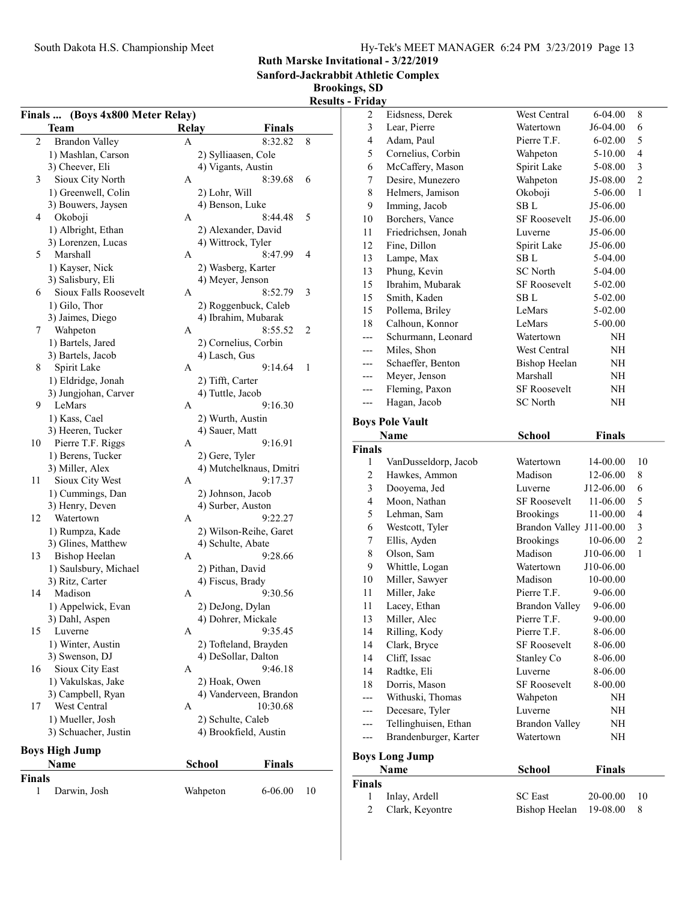Sanford-Jackrabbit Athletic Complex

## Brookings, SD

|        | Finals  (Boys 4x800 Meter Relay) |          |                                        |
|--------|----------------------------------|----------|----------------------------------------|
|        | Team                             | Relay    | <b>Finals</b>                          |
| 2      | <b>Brandon Valley</b>            | А        | 8:32.82<br>8                           |
|        | 1) Mashlan, Carson               |          | 2) Sylliaasen, Cole                    |
|        | 3) Cheever, Eli                  |          | 4) Vigants, Austin                     |
| 3      | Sioux City North                 | А        | 8:39.68<br>6                           |
|        | 1) Greenwell, Colin              |          | 2) Lohr, Will                          |
|        | 3) Bouwers, Jaysen               |          | 4) Benson, Luke                        |
| 4      | Okoboji                          | А        | 8:44.48<br>5                           |
|        | 1) Albright, Ethan               |          | 2) Alexander, David                    |
|        | 3) Lorenzen, Lucas               |          | 4) Wittrock, Tyler                     |
| 5      | Marshall                         | А        | 8:47.99<br>4                           |
|        | 1) Kayser, Nick                  |          | 2) Wasberg, Karter                     |
|        | 3) Salisbury, Eli                |          | 4) Meyer, Jenson                       |
| 6      | Sioux Falls Roosevelt            | A        | 8:52.79<br>3                           |
|        | 1) Gilo, Thor                    |          | 2) Roggenbuck, Caleb                   |
|        | 3) Jaimes, Diego                 |          | 4) Ibrahim, Mubarak                    |
| 7      | Wahpeton                         | А        | 8:55.52<br>2                           |
|        | 1) Bartels, Jared                |          | 2) Cornelius, Corbin                   |
|        | 3) Bartels, Jacob                |          | 4) Lasch, Gus                          |
| 8      | Spirit Lake                      | A        | 9:14.64<br>1                           |
|        | 1) Eldridge, Jonah               |          | 2) Tifft, Carter                       |
|        | 3) Jungjohan, Carver             |          | 4) Tuttle, Jacob                       |
| 9      | LeMars                           | А        | 9:16.30                                |
|        | 1) Kass, Cael                    |          | 2) Wurth, Austin                       |
|        | 3) Heeren, Tucker                |          | 4) Sauer, Matt                         |
| 10     | Pierre T.F. Riggs                | A        | 9:16.91                                |
|        | 1) Berens, Tucker                |          | 2) Gere, Tyler                         |
|        | 3) Miller, Alex                  |          | 4) Mutchelknaus, Dmitri                |
| 11     | Sioux City West                  | А        | 9:17.37                                |
|        | 1) Cummings, Dan                 |          | 2) Johnson, Jacob                      |
|        | 3) Henry, Deven                  |          | 4) Surber, Auston                      |
| 12     | Watertown                        | А        | 9:22.27                                |
|        | 1) Rumpza, Kade                  |          | 2) Wilson-Reihe, Garet                 |
|        | 3) Glines, Matthew               |          | 4) Schulte, Abate                      |
| 13     | <b>Bishop Heelan</b>             | А        | 9:28.66                                |
|        | 1) Saulsbury, Michael            |          | 2) Pithan, David                       |
|        | 3) Ritz, Carter                  |          | 4) Fiscus, Brady                       |
| 14     | Madison                          | А        | 9:30.56                                |
|        |                                  |          |                                        |
|        | 1) Appelwick, Evan               |          | 2) DeJong, Dylan<br>4) Dohrer, Mickale |
|        | 3) Dahl, Aspen                   |          |                                        |
| 15     | Luverne                          | А        | 9:35.45                                |
|        | 1) Winter, Austin                |          | 2) Tofteland, Brayden                  |
|        | 3) Swenson, DJ                   |          | 4) DeSollar, Dalton                    |
| 16     | Sioux City East                  | А        | 9:46.18                                |
|        | 1) Vakulskas, Jake               |          | 2) Hoak, Owen                          |
|        | 3) Campbell, Ryan                |          | 4) Vanderveen, Brandon                 |
| 17     | West Central                     | А        | 10:30.68                               |
|        | 1) Mueller, Josh                 |          | 2) Schulte, Caleb                      |
|        | 3) Schuacher, Justin             |          | 4) Brookfield, Austin                  |
|        | <b>Boys High Jump</b>            |          |                                        |
|        | <b>Name</b>                      | School   | Finals                                 |
| Finals |                                  |          |                                        |
| 1      | Darwin, Josh                     | Wahpeton | 6-06.00<br>10                          |
|        |                                  |          |                                        |

| 2             | Eidsness, Derek        | West Central                       | 6-04.00       | 8              |
|---------------|------------------------|------------------------------------|---------------|----------------|
| 3             | Lear, Pierre           | Watertown                          | J6-04.00      | 6              |
| 4             | Adam, Paul             | Pierre T.F.                        | $6 - 02.00$   | 5              |
| 5             | Cornelius, Corbin      | Wahpeton                           | 5-10.00       | $\overline{4}$ |
| 6             | McCaffery, Mason       | Spirit Lake                        | 5-08.00       | 3              |
| 7             | Desire, Munezero       | Wahpeton                           | J5-08.00      | $\mathfrak{2}$ |
| 8             | Helmers, Jamison       | Okoboji                            | 5-06.00       | 1              |
| 9             | Imming, Jacob          | SB L                               | J5-06.00      |                |
| 10            | Borchers, Vance        | <b>SF Roosevelt</b>                | J5-06.00      |                |
| 11            | Friedrichsen, Jonah    | Luverne                            | J5-06.00      |                |
| 12            | Fine, Dillon           | Spirit Lake                        | J5-06.00      |                |
| 13            | Lampe, Max             | SB L                               | 5-04.00       |                |
| 13            | Phung, Kevin           | <b>SC</b> North                    | 5-04.00       |                |
| 15            | Ibrahim, Mubarak       | <b>SF Roosevelt</b>                | 5-02.00       |                |
| 15            | Smith, Kaden           | SB L                               | 5-02.00       |                |
| 15            | Pollema, Briley        | LeMars                             | 5-02.00       |                |
| 18            | Calhoun, Konnor        | LeMars                             | 5-00.00       |                |
| ---           | Schurmann, Leonard     | Watertown                          | NH            |                |
| ---           | Miles, Shon            | West Central                       | NH            |                |
| ---           | Schaeffer, Benton      | <b>Bishop Heelan</b>               | NH            |                |
| ---           | Meyer, Jenson          | Marshall                           | NH            |                |
| ---           | Fleming, Paxon         | <b>SF Roosevelt</b>                | NH            |                |
| ---           | Hagan, Jacob           | <b>SC</b> North                    | NΗ            |                |
|               | <b>Boys Pole Vault</b> |                                    |               |                |
|               | Name                   | <b>School</b>                      | <b>Finals</b> |                |
| <b>Finals</b> |                        |                                    |               |                |
| 1             | VanDusseldorp, Jacob   | Watertown                          | 14-00.00      | 10             |
| 2             | Hawkes, Ammon          | Madison                            | 12-06.00      | 8              |
| 3             | Dooyema, Jed           | Luverne                            | J12-06.00     | 6              |
| 4             | Moon, Nathan           | <b>SF Roosevelt</b>                | 11-06.00      | 5              |
| 5             | Lehman, Sam            | <b>Brookings</b>                   | 11-00.00      | 4              |
| 6             | Westcott, Tyler        | Brandon Valley J11-00.00           |               | 3              |
| 7             | Ellis, Ayden           | <b>Brookings</b>                   | 10-06.00      | 2              |
| 8             | Olson, Sam             | Madison                            | J10-06.00     | 1              |
| 9             | Whittle, Logan         | Watertown                          | J10-06.00     |                |
| 10            | Miller, Sawyer         | Madison                            | 10-00.00      |                |
| 11            | Miller, Jake           | Pierre T.F.                        | 9-06.00       |                |
| 11            |                        |                                    |               |                |
| 13            |                        |                                    |               |                |
|               | Lacey, Ethan           | <b>Brandon Valley</b>              | 9-06.00       |                |
|               | Miller, Alec           | Pierre T.F.                        | $9 - 00.00$   |                |
| 14            | Rilling, Kody          | Pierre T.F.                        | 8-06.00       |                |
| 14            | Clark, Bryce           | <b>SF Roosevelt</b>                | 8-06.00       |                |
| 14<br>14      | Cliff, Issac           | Stanley Co<br>Luverne              | 8-06.00       |                |
| 18            | Radtke, Eli            | <b>SF Roosevelt</b>                | 8-06.00       |                |
|               | Dorris, Mason          |                                    | 8-00.00       |                |
|               | Withuski, Thomas       | Wahpeton                           | NH            |                |
|               | Decesare, Tyler        | Luverne                            | NH            |                |
| ---           | Tellinghuisen, Ethan   | <b>Brandon Valley</b><br>Watertown | NH            |                |
|               | Brandenburger, Karter  |                                    | NH            |                |
|               | <b>Boys Long Jump</b>  |                                    |               |                |
| <b>Finals</b> | Name                   | <b>School</b>                      | <b>Finals</b> |                |

| nals |                   |                        |               |  |
|------|-------------------|------------------------|---------------|--|
|      | 1 Inlay, Ardell   | <b>SC</b> East         | $20-00.00$ 10 |  |
|      | 2 Clark, Keyontre | Bishop Heelan 19-08.00 |               |  |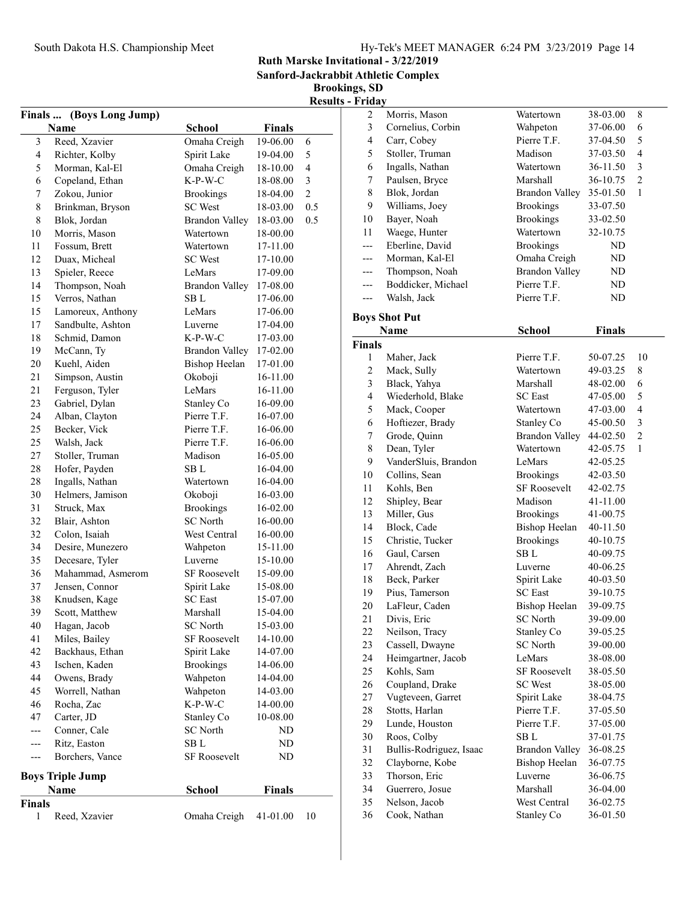Sanford-Jackrabbit Athletic Complex

| <b>Results - Friday</b> |
|-------------------------|
|                         |

|                | Finals  (Boys Long Jump) |                       |               |                |
|----------------|--------------------------|-----------------------|---------------|----------------|
|                | Name                     | <b>School</b>         | <b>Finals</b> |                |
| 3              | Reed, Xzavier            | Omaha Creigh          | 19-06.00      | 6              |
| $\overline{4}$ | Richter, Kolby           | Spirit Lake           | 19-04.00      | 5              |
| 5              | Morman, Kal-El           | Omaha Creigh          | 18-10.00      | 4              |
| 6              | Copeland, Ethan          | K-P-W-C               | 18-08.00      | 3              |
| 7              | Zokou, Junior            | <b>Brookings</b>      | 18-04.00      | $\overline{2}$ |
| 8              | Brinkman, Bryson         | <b>SC</b> West        | 18-03.00      | 0.5            |
| 8              | Blok, Jordan             | <b>Brandon Valley</b> | 18-03.00      | 0.5            |
| 10             | Morris, Mason            | Watertown             | 18-00.00      |                |
| 11             | Fossum, Brett            | Watertown             | 17-11.00      |                |
| 12             | Duax, Micheal            | <b>SC</b> West        | 17-10.00      |                |
| 13             | Spieler, Reece           | LeMars                | 17-09.00      |                |
| 14             | Thompson, Noah           | <b>Brandon Valley</b> | 17-08.00      |                |
| 15             | Verros, Nathan           | SB L                  | 17-06.00      |                |
| 15             | Lamoreux, Anthony        | LeMars                | 17-06.00      |                |
| 17             | Sandbulte, Ashton        | Luverne               | 17-04.00      |                |
| 18             | Schmid, Damon            | $K-P-W-C$             | 17-03.00      |                |
| 19             | McCann, Ty               | <b>Brandon Valley</b> | 17-02.00      |                |
| 20             | Kuehl, Aiden             | Bishop Heelan         | 17-01.00      |                |
| 21             | Simpson, Austin          | Okoboji               | 16-11.00      |                |
| 21             | Ferguson, Tyler          | LeMars                | 16-11.00      |                |
| 23             | Gabriel, Dylan           | Stanley Co            | 16-09.00      |                |
| 24             | Alban, Clayton           | Pierre T.F.           | 16-07.00      |                |
| 25             | Becker, Vick             | Pierre T.F.           | 16-06.00      |                |
| 25             | Walsh, Jack              | Pierre T.F.           | 16-06.00      |                |
| 27             | Stoller, Truman          | Madison               | 16-05.00      |                |
| 28             | Hofer, Payden            | SB L                  | 16-04.00      |                |
| 28             | Ingalls, Nathan          | Watertown             | 16-04.00      |                |
| 30             | Helmers, Jamison         | Okoboji               | 16-03.00      |                |
| 31             | Struck, Max              | <b>Brookings</b>      | 16-02.00      |                |
| 32             | Blair, Ashton            | <b>SC</b> North       | 16-00.00      |                |
| 32             | Colon, Isaiah            | West Central          | 16-00.00      |                |
| 34             | Desire, Munezero         | Wahpeton              | 15-11.00      |                |
| 35             | Decesare, Tyler          | Luverne               | 15-10.00      |                |
| 36             | Mahammad, Asmerom        | <b>SF Roosevelt</b>   | 15-09.00      |                |
| 37             | Jensen, Connor           | Spirit Lake           | 15-08.00      |                |
| 38             | Knudsen, Kage            | <b>SC</b> East        | 15-07.00      |                |
| 39             | Scott, Matthew           | Marshall              | 15-04.00      |                |
| 40             | Hagan, Jacob             | <b>SC</b> North       | 15-03.00      |                |
| 41             | Miles, Bailey            | <b>SF Roosevelt</b>   | 14-10.00      |                |
| 42             | Backhaus, Ethan          | Spirit Lake           | 14-07.00      |                |
| 43             | Ischen, Kaden            | <b>Brookings</b>      | 14-06.00      |                |
| 44             | Owens, Brady             | Wahpeton              | 14-04.00      |                |
| 45             | Worrell, Nathan          | Wahpeton              | 14-03.00      |                |
| 46             | Rocha, Zac               | K-P-W-C               | 14-00.00      |                |
| 47             | Carter, JD               | Stanley Co            | 10-08.00      |                |
| ---            | Conner, Cale             | <b>SC</b> North       | ND            |                |
| ---            | Ritz, Easton             | $\rm SB$ L            | ND            |                |
| ---            | Borchers, Vance          | <b>SF Roosevelt</b>   | ND            |                |
|                |                          |                       |               |                |
|                | <b>Boys Triple Jump</b>  |                       |               |                |
|                | Name                     | <b>School</b>         | <b>Finals</b> |                |
| Finals         |                          |                       |               |                |
| $\mathbf{1}$   | Reed, Xzavier            | Omaha Creigh          | 41-01.00      | 10             |
|                |                          |                       |               |                |

| 2                       | Morris, Mason           | Watertown             | 38-03.00      | 8              |
|-------------------------|-------------------------|-----------------------|---------------|----------------|
| 3                       | Cornelius, Corbin       | Wahpeton              | 37-06.00      | 6              |
| $\overline{\mathbf{4}}$ | Carr, Cobey             | Pierre T.F.           | 37-04.50      | 5              |
| 5                       | Stoller, Truman         | Madison               | 37-03.50      | $\overline{4}$ |
| 6                       | Ingalls, Nathan         | Watertown             | 36-11.50      | 3              |
| 7                       | Paulsen, Bryce          | Marshall              | 36-10.75      | $\overline{2}$ |
| 8                       | Blok, Jordan            | Brandon Valley        | 35-01.50      | 1              |
| 9                       | Williams, Joey          | <b>Brookings</b>      | 33-07.50      |                |
| 10                      | Bayer, Noah             | <b>Brookings</b>      | 33-02.50      |                |
| 11                      | Waege, Hunter           | Watertown             | 32-10.75      |                |
| ---                     | Eberline, David         | <b>Brookings</b>      | ND.           |                |
| ---                     | Morman, Kal-El          | Omaha Creigh          | ND            |                |
| ---                     | Thompson, Noah          | <b>Brandon Valley</b> | ND            |                |
| ---                     | Boddicker, Michael      | Pierre T.F.           | ND            |                |
| ---                     | Walsh, Jack             | Pierre T.F.           | ND            |                |
|                         |                         |                       |               |                |
|                         | <b>Boys Shot Put</b>    |                       |               |                |
|                         | Name                    | <b>School</b>         | <b>Finals</b> |                |
| <b>Finals</b>           |                         |                       |               |                |
| 1                       | Maher, Jack             | Pierre T.F.           | 50-07.25      | 10             |
| 2                       | Mack, Sully             | Watertown             | 49-03.25      | 8              |
| 3                       | Black, Yahya            | Marshall              | 48-02.00      | 6              |
| 4                       | Wiederhold, Blake       | <b>SC</b> East        | 47-05.00      | 5              |
| 5                       | Mack, Cooper            | Watertown             | 47-03.00      | 4              |
| 6                       | Hoftiezer, Brady        | Stanley Co            | 45-00.50      | 3              |
| 7                       | Grode, Quinn            | <b>Brandon Valley</b> | 44-02.50      | $\overline{2}$ |
| 8                       | Dean, Tyler             | Watertown             | 42-05.75      | 1              |
| 9                       | VanderSluis, Brandon    | LeMars                | 42-05.25      |                |
| 10                      | Collins, Sean           | <b>Brookings</b>      | 42-03.50      |                |
| 11                      | Kohls, Ben              | <b>SF Roosevelt</b>   | 42-02.75      |                |
| 12                      | Shipley, Bear           | Madison               | 41-11.00      |                |
| 13                      | Miller, Gus             | <b>Brookings</b>      | 41-00.75      |                |
| 14                      | Block, Cade             | <b>Bishop Heelan</b>  | 40-11.50      |                |
| 15                      | Christie, Tucker        | <b>Brookings</b>      | 40-10.75      |                |
| 16                      | Gaul, Carsen            | SB L                  | 40-09.75      |                |
| 17                      | Ahrendt, Zach           | Luverne               | 40-06.25      |                |
| 18                      | Beck, Parker            | Spirit Lake           | 40-03.50      |                |
| 19                      | Pius, Tamerson          | <b>SC</b> East        | 39-10.75      |                |
| 20                      | LaFleur, Caden          | <b>Bishop Heelan</b>  | 39-09.75      |                |
| 21                      | Divis, Eric             | SC North              | 39-09.00      |                |
| 22                      | Neilson, Tracy          | Stanley Co            | 39-05.25      |                |
| 23                      | Cassell, Dwayne         | <b>SC</b> North       | 39-00.00      |                |
| 24                      | Heimgartner, Jacob      | LeMars                | 38-08.00      |                |
| 25                      | Kohls, Sam              | <b>SF Roosevelt</b>   | 38-05.50      |                |
| 26                      | Coupland, Drake         | <b>SC</b> West        | 38-05.00      |                |
| 27                      | Vugteveen, Garret       | Spirit Lake           | 38-04.75      |                |
| 28                      | Stotts, Harlan          | Pierre T.F.           | 37-05.50      |                |
| 29                      | Lunde, Houston          | Pierre T.F.           | 37-05.00      |                |
| 30                      | Roos, Colby             | SB L                  | 37-01.75      |                |
| 31                      | Bullis-Rodriguez, Isaac | <b>Brandon Valley</b> | 36-08.25      |                |
| 32                      | Clayborne, Kobe         | Bishop Heelan         | 36-07.75      |                |
| 33                      | Thorson, Eric           | Luverne               | 36-06.75      |                |
| 34                      | Guerrero, Josue         | Marshall              | 36-04.00      |                |
| 35                      | Nelson, Jacob           | West Central          | 36-02.75      |                |
| 36                      | Cook, Nathan            | Stanley Co            | 36-01.50      |                |
|                         |                         |                       |               |                |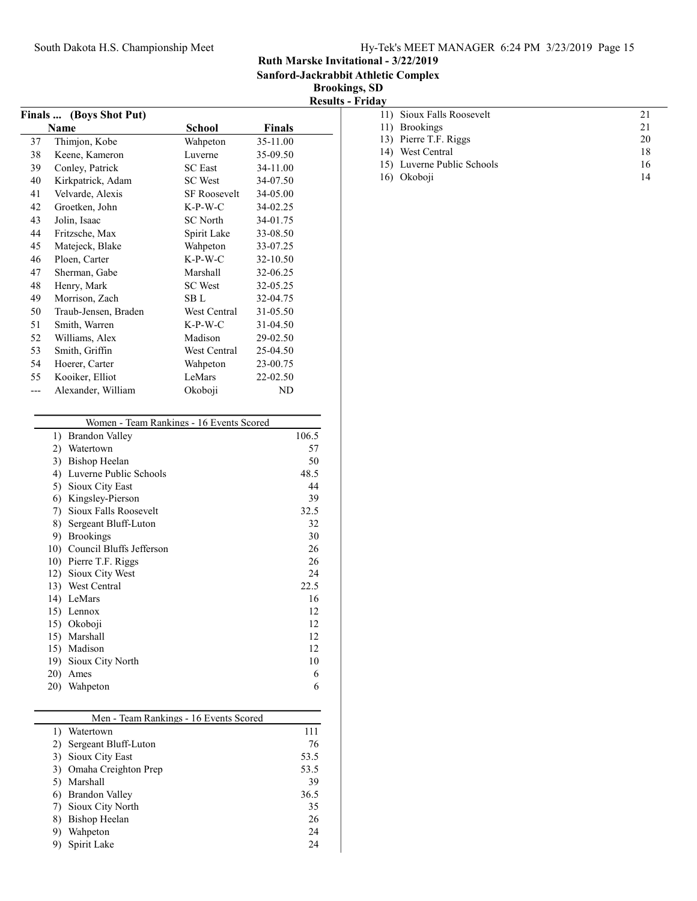Sanford-Jackrabbit Athletic Complex

Brookings, SD Results - Friday

|     | Finals  (Boys Shot Put) |                     |          |  |
|-----|-------------------------|---------------------|----------|--|
|     | Name                    | School              | Finals   |  |
| 37  | Thimjon, Kobe           | Wahpeton            | 35-11.00 |  |
| 38  | Keene, Kameron          | Luverne             | 35-09.50 |  |
| 39  | Conley, Patrick         | <b>SC</b> East      | 34-11.00 |  |
| 40  | Kirkpatrick, Adam       | <b>SC</b> West      | 34-07.50 |  |
| 41  | Velvarde, Alexis        | <b>SF Roosevelt</b> | 34-05.00 |  |
| 42  | Groetken, John          | $K-P-W-C$           | 34-02.25 |  |
| 43  | Jolin, Isaac            | SC North            | 34-01.75 |  |
| 44  | Fritzsche, Max          | Spirit Lake         | 33-08.50 |  |
| 45  | Matejeck, Blake         | Wahpeton            | 33-07.25 |  |
| 46  | Ploen, Carter           | $K-P-W-C$           | 32-10.50 |  |
| 47  | Sherman, Gabe           | Marshall            | 32-06.25 |  |
| 48  | Henry, Mark             | <b>SC</b> West      | 32-05.25 |  |
| 49  | Morrison, Zach          | SB L                | 32-04.75 |  |
| 50  | Traub-Jensen, Braden    | West Central        | 31-05.50 |  |
| 51  | Smith, Warren           | $K-P-W-C$           | 31-04.50 |  |
| 52  | Williams, Alex          | Madison             | 29-02.50 |  |
| 53  | Smith, Griffin          | West Central        | 25-04.50 |  |
| 54  | Hoerer, Carter          | Wahpeton            | 23-00.75 |  |
| 55  | Kooiker, Elliot         | LeMars              | 22-02.50 |  |
| --- | Alexander, William      | Okoboji             | ND       |  |

|     | Women - Team Rankings - 16 Events Scored |       |
|-----|------------------------------------------|-------|
| 1)  | Brandon Valley                           | 106.5 |
| 2)  | Watertown                                | 57    |
| 3)  | <b>Bishop Heelan</b>                     | 50    |
| 4)  | Luverne Public Schools                   | 48.5  |
| 5)  | Sioux City East                          | 44    |
| 6)  | Kingsley-Pierson                         | 39    |
| 7)  | Sioux Falls Roosevelt                    | 32.5  |
| 8)  | Sergeant Bluff-Luton                     | 32    |
| 9)  | <b>Brookings</b>                         | 30    |
| 10) | Council Bluffs Jefferson                 | 26    |
| 10) | Pierre T.F. Riggs                        | 26    |
| 12) | Sioux City West                          | 24    |
| 13) | West Central                             | 22.5  |
| 14) | LeMars                                   | 16    |
| 15) | Lennox                                   | 12    |
| 15) | Okoboji                                  | 12    |
| 15) | Marshall                                 | 12    |
| 15) | Madison                                  | 12    |
| 19) | Sioux City North                         | 10    |
| 20) | Ames                                     | 6     |
| 20) | Wahpeton                                 | 6     |

|    | Men - Team Rankings - 16 Events Scored |      |  |  |
|----|----------------------------------------|------|--|--|
|    | Watertown                              | 111  |  |  |
|    | 2) Sergeant Bluff-Luton                | 76   |  |  |
|    | 3) Sioux City East                     | 53.5 |  |  |
|    | 3) Omaha Creighton Prep                | 53.5 |  |  |
|    | 5) Marshall                            | 39   |  |  |
|    | 6) Brandon Valley                      | 36.5 |  |  |
|    | 7) Sioux City North                    | 35   |  |  |
| 8) | Bishop Heelan                          | 26   |  |  |
| 9) | Wahpeton                               | 24   |  |  |
|    | Spirit Lake                            | 24   |  |  |

| и у |                            |    |
|-----|----------------------------|----|
|     | 11) Sioux Falls Roosevelt  | 21 |
|     | 11) Brookings              | 21 |
|     | 13) Pierre T.F. Riggs      | 20 |
|     | 14) West Central           | 18 |
|     | 15) Luverne Public Schools | 16 |
|     | 16) Okoboji                | 14 |
|     |                            |    |